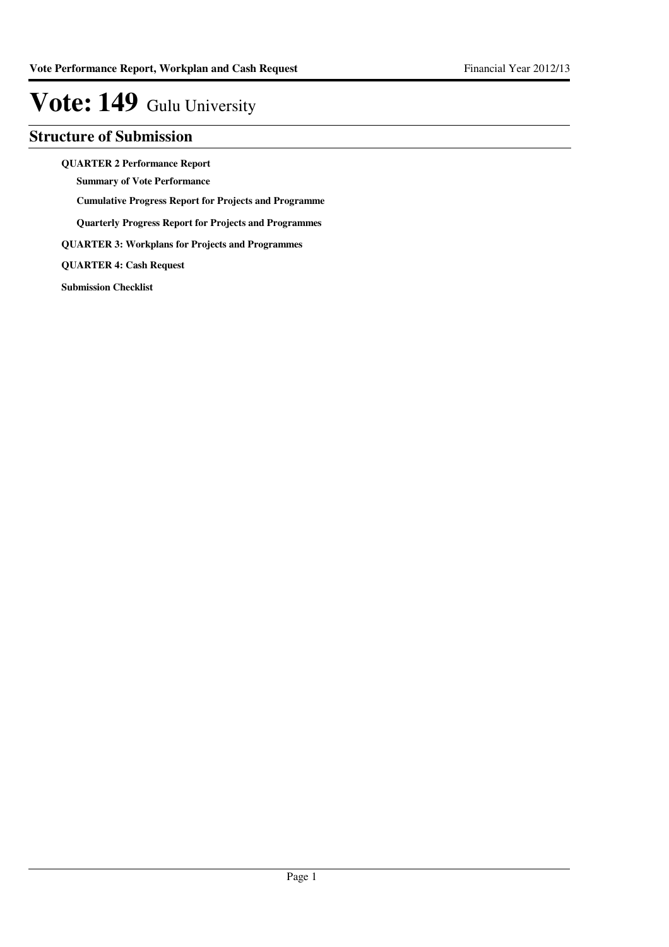#### **Structure of Submission**

**QUARTER 2 Performance Report**

**Summary of Vote Performance**

**Cumulative Progress Report for Projects and Programme**

**Quarterly Progress Report for Projects and Programmes**

**QUARTER 3: Workplans for Projects and Programmes**

**QUARTER 4: Cash Request**

**Submission Checklist**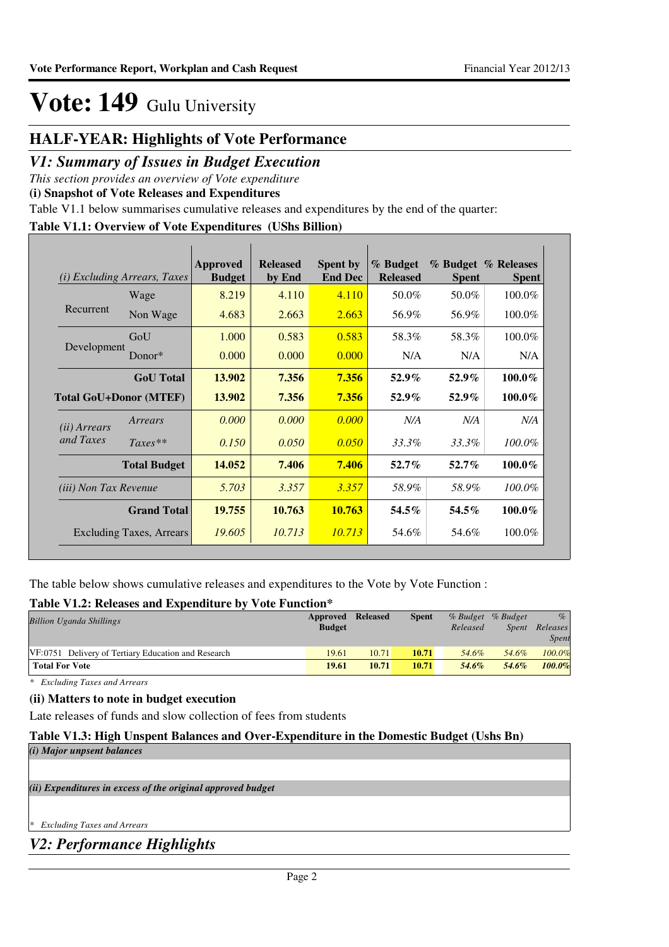#### **HALF-YEAR: Highlights of Vote Performance**

#### *V1: Summary of Issues in Budget Execution*

*This section provides an overview of Vote expenditure* 

**(i) Snapshot of Vote Releases and Expenditures**

Table V1.1 below summarises cumulative releases and expenditures by the end of the quarter:

#### **Table V1.1: Overview of Vote Expenditures (UShs Billion)**

|                               | ( <i>i</i> ) Excluding Arrears, Taxes | <b>Approved</b><br><b>Budget</b> | <b>Released</b><br>by End | <b>Spent by</b><br><b>End Dec</b> | % Budget<br><b>Released</b> | <b>Spent</b> | % Budget % Releases<br><b>Spent</b> |
|-------------------------------|---------------------------------------|----------------------------------|---------------------------|-----------------------------------|-----------------------------|--------------|-------------------------------------|
|                               | Wage                                  | 8.219                            | 4.110                     | 4.110                             | 50.0%                       | 50.0%        | 100.0%                              |
| Recurrent                     | Non Wage                              | 4.683                            | 2.663                     | 2.663                             | 56.9%                       | 56.9%        | 100.0%                              |
|                               | GoU                                   | 1.000                            | 0.583                     | 0.583                             | 58.3%                       | 58.3%        | 100.0%                              |
| Development                   | Donor*                                | 0.000                            | 0.000                     | 0.000                             | N/A                         | N/A          | N/A                                 |
|                               | <b>GoU</b> Total                      | 13.902                           | 7.356                     | 7.356                             | $52.9\%$                    | $52.9\%$     | $100.0\%$                           |
| <b>Total GoU+Donor (MTEF)</b> |                                       | 13.902                           | 7.356                     | 7.356                             | $52.9\%$                    | $52.9\%$     | 100.0%                              |
| ( <i>ii</i> ) Arrears         | Arrears                               | 0.000                            | 0.000                     | 0.000                             | N/A                         | N/A          | N/A                                 |
| and Taxes                     | $Taxes**$                             | 0.150                            | 0.050                     | 0.050                             | 33.3%                       | 33.3%        | 100.0%                              |
|                               | <b>Total Budget</b>                   | 14.052                           | 7.406                     | 7.406                             | $52.7\%$                    | $52.7\%$     | 100.0%                              |
| <i>(iii)</i> Non Tax Revenue  |                                       | 5.703                            | 3.357                     | 3.357                             | 58.9%                       | 58.9%        | $100.0\%$                           |
|                               | <b>Grand Total</b>                    | 19.755                           | 10.763                    | 10.763                            | $54.5\%$                    | 54.5%        | 100.0%                              |
|                               | <b>Excluding Taxes, Arrears</b>       | 19.605                           | 10.713                    | 10.713                            | 54.6%                       | 54.6%        | 100.0%                              |

The table below shows cumulative releases and expenditures to the Vote by Vote Function :

#### **Table V1.2: Releases and Expenditure by Vote Function\***

| Tuoit + IIII Ruhumoo uhu Laipthunun o o + + ole I uhtehon |               |                 |              |          |                   |              |
|-----------------------------------------------------------|---------------|-----------------|--------------|----------|-------------------|--------------|
| <b>Billion Uganda Shillings</b>                           | Approved      | <b>Released</b> | <b>Spent</b> |          | % Budget % Budget | $\%$         |
|                                                           | <b>Budget</b> |                 |              | Released | Spent             | Releases     |
|                                                           |               |                 |              |          |                   | <b>Spent</b> |
| VF:0751 Delivery of Tertiary Education and Research       | 19.61         | 10.71           | 10.71        | 54.6%    | 54.6%             | 100.0%       |
| <b>Total For Vote</b>                                     | 19.61         | 10.71           | 10.71        | 54.6%    | 54.6%             | 100.0%       |
|                                                           |               |                 |              |          |                   |              |

*\* Excluding Taxes and Arrears*

#### **(ii) Matters to note in budget execution**

Late releases of funds and slow collection of fees from students

#### **Table V1.3: High Unspent Balances and Over-Expenditure in the Domestic Budget (Ushs Bn)**

# *(ii) Expenditures in excess of the original approved budget (i) Major unpsent balances*

*\* Excluding Taxes and Arrears*

*V2: Performance Highlights*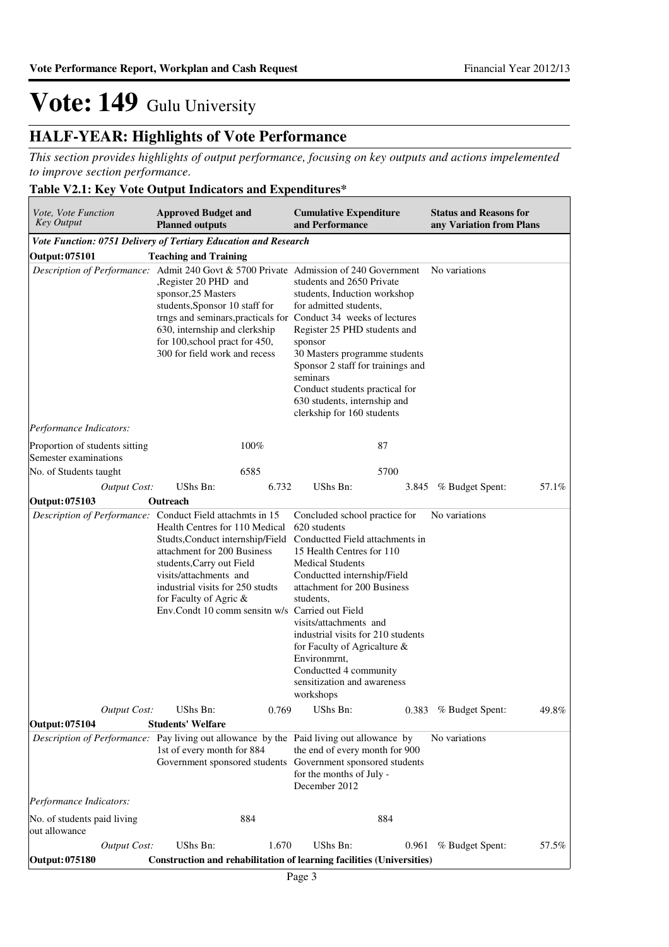#### **HALF-YEAR: Highlights of Vote Performance**

*This section provides highlights of output performance, focusing on key outputs and actions impelemented to improve section performance.*

#### **Table V2.1: Key Vote Output Indicators and Expenditures\***

| Vote, Vote Function<br><b>Key Output</b>                                                 | <b>Approved Budget and</b><br><b>Planned outputs</b>                                                                                                                                                                                                                                                                                          |       | <b>Cumulative Expenditure</b><br>and Performance                                                                                                                                                                                                                                                                                                                                                          |       | <b>Status and Reasons for</b><br>any Variation from Plans |       |
|------------------------------------------------------------------------------------------|-----------------------------------------------------------------------------------------------------------------------------------------------------------------------------------------------------------------------------------------------------------------------------------------------------------------------------------------------|-------|-----------------------------------------------------------------------------------------------------------------------------------------------------------------------------------------------------------------------------------------------------------------------------------------------------------------------------------------------------------------------------------------------------------|-------|-----------------------------------------------------------|-------|
| Vote Function: 0751 Delivery of Tertiary Education and Research                          |                                                                                                                                                                                                                                                                                                                                               |       |                                                                                                                                                                                                                                                                                                                                                                                                           |       |                                                           |       |
| Output: 075101                                                                           | <b>Teaching and Training</b>                                                                                                                                                                                                                                                                                                                  |       |                                                                                                                                                                                                                                                                                                                                                                                                           |       |                                                           |       |
|                                                                                          | Description of Performance: Admit 240 Govt & 5700 Private Admission of 240 Government<br>,Register 20 PHD and<br>sponsor, 25 Masters<br>students, Sponsor 10 staff for<br>trngs and seminars, practicals for Conduct 34 weeks of lectures<br>630, internship and clerkship<br>for 100, school pract for 450,<br>300 for field work and recess |       | students and 2650 Private<br>students, Induction workshop<br>for admitted students,<br>Register 25 PHD students and<br>sponsor<br>30 Masters programme students<br>Sponsor 2 staff for trainings and<br>seminars<br>Conduct students practical for<br>630 students, internship and<br>clerkship for 160 students                                                                                          |       | No variations                                             |       |
| Performance Indicators:                                                                  |                                                                                                                                                                                                                                                                                                                                               |       |                                                                                                                                                                                                                                                                                                                                                                                                           |       |                                                           |       |
| Proportion of students sitting<br>Semester examinations                                  |                                                                                                                                                                                                                                                                                                                                               | 100%  | 87                                                                                                                                                                                                                                                                                                                                                                                                        |       |                                                           |       |
| No. of Students taught                                                                   |                                                                                                                                                                                                                                                                                                                                               | 6585  | 5700                                                                                                                                                                                                                                                                                                                                                                                                      |       |                                                           |       |
| <b>Output Cost:</b>                                                                      | UShs Bn:                                                                                                                                                                                                                                                                                                                                      | 6.732 | UShs Bn:                                                                                                                                                                                                                                                                                                                                                                                                  | 3.845 | % Budget Spent:                                           | 57.1% |
| Output: 075103                                                                           | Outreach                                                                                                                                                                                                                                                                                                                                      |       |                                                                                                                                                                                                                                                                                                                                                                                                           |       |                                                           |       |
| Description of Performance: Conduct Field attachmts in 15                                | Health Centres for 110 Medical<br>Studts, Conduct internship/Field<br>attachment for 200 Business<br>students, Carry out Field<br>visits/attachments and<br>industrial visits for 250 studts<br>for Faculty of Agric &<br>Env.Condt 10 comm sensitn w/s Carried out Field                                                                     |       | Concluded school practice for<br>620 students<br>Conductted Field attachments in<br>15 Health Centres for 110<br><b>Medical Students</b><br>Conductted internship/Field<br>attachment for 200 Business<br>students,<br>visits/attachments and<br>industrial visits for 210 students<br>for Faculty of Agricalture &<br>Environmrnt,<br>Conductted 4 community<br>sensitization and awareness<br>workshops |       | No variations                                             |       |
| <b>Output Cost:</b>                                                                      | UShs Bn:                                                                                                                                                                                                                                                                                                                                      | 0.769 | UShs Bn:                                                                                                                                                                                                                                                                                                                                                                                                  |       | 0.383 % Budget Spent:                                     | 49.8% |
| Output: 075104                                                                           | <b>Students' Welfare</b>                                                                                                                                                                                                                                                                                                                      |       |                                                                                                                                                                                                                                                                                                                                                                                                           |       |                                                           |       |
| Description of Performance: Pay living out allowance by the Paid living out allowance by | 1st of every month for 884<br>Government sponsored students                                                                                                                                                                                                                                                                                   |       | the end of every month for 900<br>Government sponsored students<br>for the months of July -<br>December 2012                                                                                                                                                                                                                                                                                              |       | No variations                                             |       |
| Performance Indicators:                                                                  |                                                                                                                                                                                                                                                                                                                                               |       |                                                                                                                                                                                                                                                                                                                                                                                                           |       |                                                           |       |
| No. of students paid living<br>out allowance                                             |                                                                                                                                                                                                                                                                                                                                               | 884   | 884                                                                                                                                                                                                                                                                                                                                                                                                       |       |                                                           |       |
| Output Cost:                                                                             | UShs Bn:                                                                                                                                                                                                                                                                                                                                      | 1.670 | UShs Bn:                                                                                                                                                                                                                                                                                                                                                                                                  | 0.961 | % Budget Spent:                                           | 57.5% |
| Output: 075180                                                                           |                                                                                                                                                                                                                                                                                                                                               |       | Construction and rehabilitation of learning facilities (Universities)                                                                                                                                                                                                                                                                                                                                     |       |                                                           |       |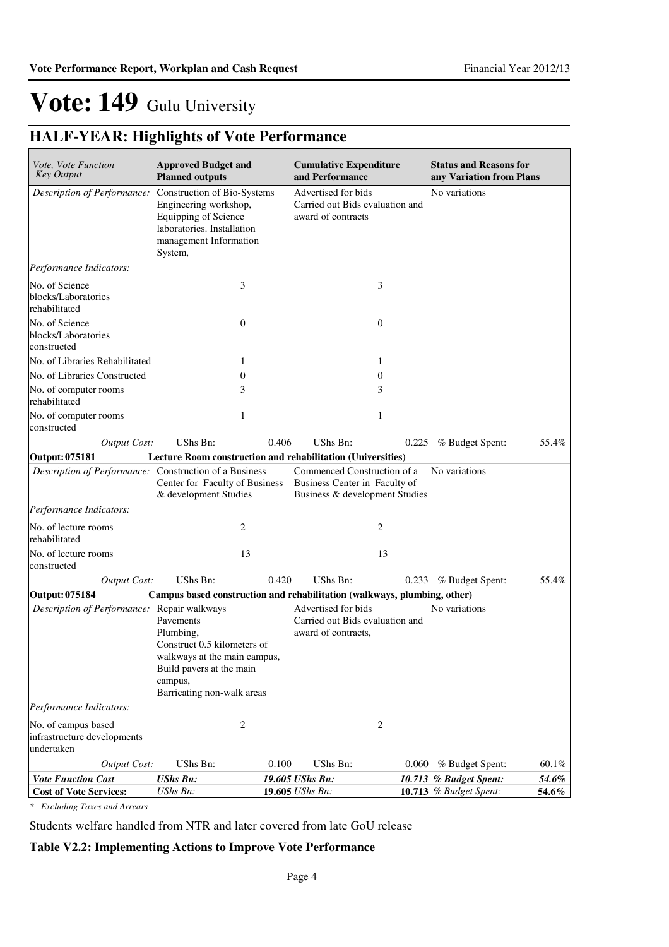### **HALF-YEAR: Highlights of Vote Performance**

| Vote, Vote Function<br><b>Key Output</b>                         | <b>Approved Budget and</b><br><b>Planned outputs</b>                                                                                                       |                | <b>Cumulative Expenditure</b><br>and Performance                                               |                | <b>Status and Reasons for</b><br>any Variation from Plans |       |
|------------------------------------------------------------------|------------------------------------------------------------------------------------------------------------------------------------------------------------|----------------|------------------------------------------------------------------------------------------------|----------------|-----------------------------------------------------------|-------|
| Description of Performance:                                      | Construction of Bio-Systems<br>Engineering workshop,<br>Equipping of Science<br>laboratories. Installation<br>management Information<br>System,            |                | Advertised for bids<br>Carried out Bids evaluation and<br>award of contracts                   |                | No variations                                             |       |
| Performance Indicators:                                          |                                                                                                                                                            |                |                                                                                                |                |                                                           |       |
| No. of Science<br>blocks/Laboratories<br>rehabilitated           |                                                                                                                                                            | 3              |                                                                                                | 3              |                                                           |       |
| No. of Science<br>blocks/Laboratories<br>constructed             |                                                                                                                                                            | $\overline{0}$ |                                                                                                | $\theta$       |                                                           |       |
| No. of Libraries Rehabilitated                                   |                                                                                                                                                            | 1              |                                                                                                | 1              |                                                           |       |
| No. of Libraries Constructed                                     |                                                                                                                                                            | 0              |                                                                                                | $\theta$       |                                                           |       |
| No. of computer rooms<br>rehabilitated                           |                                                                                                                                                            | 3              |                                                                                                | 3              |                                                           |       |
| No. of computer rooms<br>constructed                             |                                                                                                                                                            | 1              |                                                                                                | 1              |                                                           |       |
| <b>Output Cost:</b>                                              | UShs Bn:                                                                                                                                                   | 0.406          | UShs Bn:                                                                                       | 0.225          | % Budget Spent:                                           | 55.4% |
| Output: 075181                                                   | Lecture Room construction and rehabilitation (Universities)                                                                                                |                |                                                                                                |                |                                                           |       |
| Description of Performance: Construction of a Business           | Center for Faculty of Business<br>& development Studies                                                                                                    |                | Commenced Construction of a<br>Business Center in Faculty of<br>Business & development Studies |                | No variations                                             |       |
| Performance Indicators:                                          |                                                                                                                                                            |                |                                                                                                |                |                                                           |       |
| No. of lecture rooms<br>rehabilitated                            |                                                                                                                                                            | 2              |                                                                                                | 2              |                                                           |       |
| No. of lecture rooms<br>constructed                              |                                                                                                                                                            | 13             |                                                                                                | 13             |                                                           |       |
| <b>Output Cost:</b>                                              | UShs Bn:                                                                                                                                                   | 0.420          | UShs Bn:                                                                                       |                | 0.233 % Budget Spent:                                     | 55.4% |
| Output: 075184                                                   | Campus based construction and rehabilitation (walkways, plumbing, other)                                                                                   |                |                                                                                                |                |                                                           |       |
| Description of Performance: Repair walkways                      | Pavements<br>Plumbing,<br>Construct 0.5 kilometers of<br>walkways at the main campus,<br>Build pavers at the main<br>campus,<br>Barricating non-walk areas |                | Advertised for bids<br>Carried out Bids evaluation and<br>award of contracts,                  |                | No variations                                             |       |
| Performance Indicators:                                          |                                                                                                                                                            |                |                                                                                                |                |                                                           |       |
| No. of campus based<br>infrastructure developments<br>undertaken |                                                                                                                                                            | 2              |                                                                                                | $\overline{c}$ |                                                           |       |
| <b>Output Cost:</b>                                              | UShs Bn:                                                                                                                                                   | 0.100          | UShs Bn:                                                                                       | 0.060          | % Budget Spent:                                           | 60.1% |
| <b>Vote Function Cost</b>                                        | <b>UShs Bn:</b>                                                                                                                                            |                | 19.605 UShs Bn:                                                                                |                | 10.713 % Budget Spent:                                    | 54.6% |
| <b>Cost of Vote Services:</b>                                    | UShs Bn:                                                                                                                                                   |                | 19.605 UShs Bn:                                                                                |                | 10.713 % Budget Spent:                                    | 54.6% |

*\* Excluding Taxes and Arrears*

Students welfare handled from NTR and later covered from late GoU release

#### **Table V2.2: Implementing Actions to Improve Vote Performance**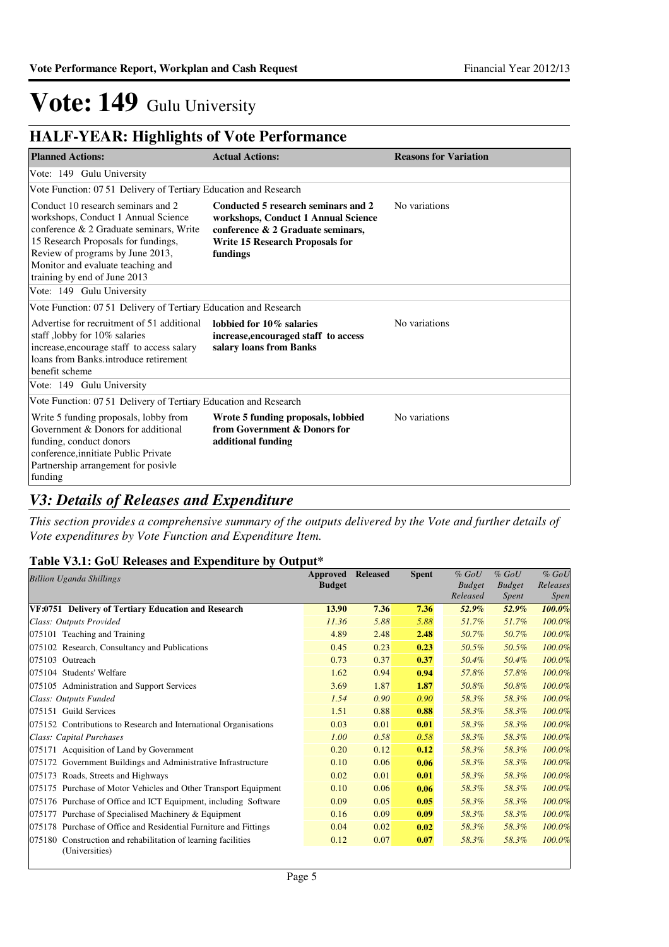### **HALF-YEAR: Highlights of Vote Performance**

| <b>Planned Actions:</b>                                                                                                                                                                                                                                              | <b>Actual Actions:</b>                                                                                                                                                | <b>Reasons for Variation</b> |
|----------------------------------------------------------------------------------------------------------------------------------------------------------------------------------------------------------------------------------------------------------------------|-----------------------------------------------------------------------------------------------------------------------------------------------------------------------|------------------------------|
| Vote: 149 Gulu University                                                                                                                                                                                                                                            |                                                                                                                                                                       |                              |
| Vote Function: 07.51 Delivery of Tertiary Education and Research                                                                                                                                                                                                     |                                                                                                                                                                       |                              |
| Conduct 10 research seminars and 2<br>workshops, Conduct 1 Annual Science<br>conference & 2 Graduate seminars, Write<br>15 Research Proposals for fundings,<br>Review of programs by June 2013,<br>Monitor and evaluate teaching and<br>training by end of June 2013 | Conducted 5 research seminars and 2<br>workshops, Conduct 1 Annual Science<br>conference & 2 Graduate seminars.<br><b>Write 15 Research Proposals for</b><br>fundings | No variations                |
| Vote: 149 Gulu University                                                                                                                                                                                                                                            |                                                                                                                                                                       |                              |
| Vote Function: 07.51 Delivery of Tertiary Education and Research                                                                                                                                                                                                     |                                                                                                                                                                       |                              |
| Advertise for recruitment of 51 additional<br>staff, lobby for 10% salaries<br>increase, encourage staff to access salary<br>loans from Banks.introduce retirement<br>benefit scheme                                                                                 | lobbied for 10% salaries<br>increase, encouraged staff to access<br>salary loans from Banks                                                                           | No variations                |
| Vote: 149 Gulu University                                                                                                                                                                                                                                            |                                                                                                                                                                       |                              |
| Vote Function: 07.51 Delivery of Tertiary Education and Research                                                                                                                                                                                                     |                                                                                                                                                                       |                              |
| Write 5 funding proposals, lobby from<br>Government & Donors for additional<br>funding, conduct donors<br>conference, innitiate Public Private<br>Partnership arrangement for posivle<br>funding                                                                     | Wrote 5 funding proposals, lobbied<br>from Government & Donors for<br>additional funding                                                                              | No variations                |

#### *V3: Details of Releases and Expenditure*

*This section provides a comprehensive summary of the outputs delivered by the Vote and further details of Vote expenditures by Vote Function and Expenditure Item.*

#### **Table V3.1: GoU Releases and Expenditure by Output\***

| <b>Billion Uganda Shillings</b>                                  | Approved      | <b>Released</b> | <b>Spent</b> | $%$ GoU       | $%$ GoU       | $%$ GoU     |
|------------------------------------------------------------------|---------------|-----------------|--------------|---------------|---------------|-------------|
|                                                                  | <b>Budget</b> |                 |              | <b>Budget</b> | <b>Budget</b> | Releases    |
|                                                                  |               |                 |              | Released      | <i>Spent</i>  | <i>Spen</i> |
| VF:0751 Delivery of Tertiary Education and Research              | 13.90         | 7.36            | 7.36         | 52.9%         | 52.9%         | 100.0%      |
| Class: Outputs Provided                                          | 11.36         | 5.88            | 5.88         | 51.7%         | 51.7%         | 100.0%      |
| 075101 Teaching and Training                                     | 4.89          | 2.48            | 2.48         | 50.7%         | 50.7%         | 100.0%      |
| 075102 Research, Consultancy and Publications                    | 0.45          | 0.23            | 0.23         | 50.5%         | 50.5%         | 100.0%      |
| 075103 Outreach                                                  | 0.73          | 0.37            | 0.37         | 50.4%         | 50.4%         | 100.0%      |
| 075104 Students' Welfare                                         | 1.62          | 0.94            | 0.94         | 57.8%         | 57.8%         | 100.0%      |
| 075105 Administration and Support Services                       | 3.69          | 1.87            | 1.87         | 50.8%         | 50.8%         | 100.0%      |
| Class: Outputs Funded                                            | 1.54          | 0.90            | 0.90         | 58.3%         | 58.3%         | 100.0%      |
| 075151 Guild Services                                            | 1.51          | 0.88            | 0.88         | 58.3%         | 58.3%         | 100.0%      |
| 075152 Contributions to Research and International Organisations | 0.03          | 0.01            | 0.01         | 58.3%         | 58.3%         | 100.0%      |
| Class: Capital Purchases                                         | 1.00          | 0.58            | 0.58         | 58.3%         | 58.3%         | 100.0%      |
| 075171 Acquisition of Land by Government                         | 0.20          | 0.12            | 0.12         | 58.3%         | 58.3%         | 100.0%      |
| 075172 Government Buildings and Administrative Infrastructure    | 0.10          | 0.06            | 0.06         | 58.3%         | 58.3%         | 100.0%      |
| 075173 Roads, Streets and Highways                               | 0.02          | 0.01            | 0.01         | 58.3%         | 58.3%         | 100.0%      |
| 075175 Purchase of Motor Vehicles and Other Transport Equipment  | 0.10          | 0.06            | 0.06         | 58.3%         | 58.3%         | 100.0%      |
| 075176 Purchase of Office and ICT Equipment, including Software  | 0.09          | 0.05            | 0.05         | 58.3%         | 58.3%         | 100.0%      |
| 075177 Purchase of Specialised Machinery & Equipment             | 0.16          | 0.09            | 0.09         | 58.3%         | 58.3%         | 100.0%      |
| 075178 Purchase of Office and Residential Furniture and Fittings | 0.04          | 0.02            | 0.02         | 58.3%         | 58.3%         | 100.0%      |
| 075180 Construction and rehabilitation of learning facilities    | 0.12          | 0.07            | 0.07         | 58.3%         | 58.3%         | 100.0%      |
| (Universities)                                                   |               |                 |              |               |               |             |
|                                                                  |               |                 |              |               |               |             |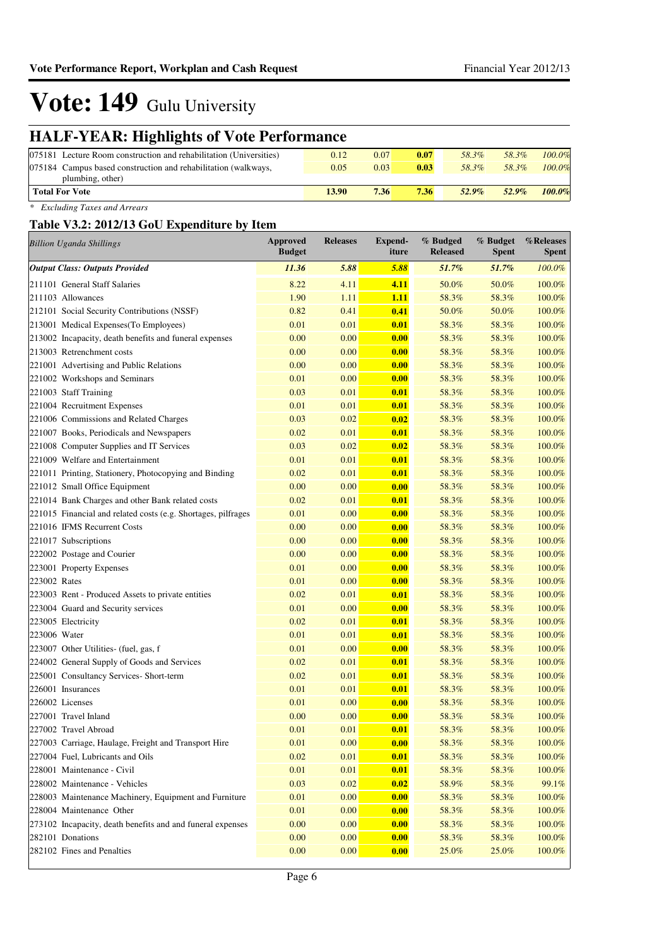### **HALF-YEAR: Highlights of Vote Performance**

| 075181 Lecture Room construction and rehabilitation (Universities) | 0.12  | 0.07 | 0.07 | 58.3%    | 58.3% | $100.0\%$ |
|--------------------------------------------------------------------|-------|------|------|----------|-------|-----------|
| 075184 Campus based construction and rehabilitation (walkways,     | 0.05  | 0.03 | 0.03 | 58.3%    | 58.3% | $100.0\%$ |
| plumbing, other)                                                   |       |      |      |          |       |           |
| <b>Total For Vote</b>                                              | 13.90 | 7.36 | 7.36 | $52.9\%$ | 52.9% | 100.0%    |
|                                                                    |       |      |      |          |       |           |

*\* Excluding Taxes and Arrears*

#### **Table V3.2: 2012/13 GoU Expenditure by Item**

| <b>Billion Uganda Shillings</b>                               | Approved<br><b>Budget</b> | <b>Releases</b> | <b>Expend-</b><br>iture | % Budged<br><b>Released</b> | % Budget<br><b>Spent</b> | %Releases<br><b>Spent</b> |
|---------------------------------------------------------------|---------------------------|-----------------|-------------------------|-----------------------------|--------------------------|---------------------------|
| <b>Output Class: Outputs Provided</b>                         | 11.36                     | 5.88            | 5.88                    | 51.7%                       | 51.7%                    | 100.0%                    |
| 211101 General Staff Salaries                                 | 8.22                      | 4.11            | 4.11                    | 50.0%                       | 50.0%                    | 100.0%                    |
| 211103 Allowances                                             | 1.90                      | 1.11            | 1.11                    | 58.3%                       | 58.3%                    | 100.0%                    |
| 212101 Social Security Contributions (NSSF)                   | 0.82                      | 0.41            | 0.41                    | 50.0%                       | 50.0%                    | 100.0%                    |
| 213001 Medical Expenses(To Employees)                         | 0.01                      | 0.01            | 0.01                    | 58.3%                       | 58.3%                    | 100.0%                    |
| 213002 Incapacity, death benefits and funeral expenses        | 0.00                      | 0.00            | 0.00                    | 58.3%                       | 58.3%                    | 100.0%                    |
| 213003 Retrenchment costs                                     | 0.00                      | 0.00            | 0.00                    | 58.3%                       | 58.3%                    | 100.0%                    |
| 221001 Advertising and Public Relations                       | 0.00                      | 0.00            | 0.00                    | 58.3%                       | 58.3%                    | 100.0%                    |
| 221002 Workshops and Seminars                                 | 0.01                      | 0.00            | 0.00                    | 58.3%                       | 58.3%                    | 100.0%                    |
| 221003 Staff Training                                         | 0.03                      | 0.01            | 0.01                    | 58.3%                       | 58.3%                    | 100.0%                    |
| 221004 Recruitment Expenses                                   | 0.01                      | 0.01            | 0.01                    | 58.3%                       | 58.3%                    | 100.0%                    |
| 221006 Commissions and Related Charges                        | 0.03                      | 0.02            | 0.02                    | 58.3%                       | 58.3%                    | 100.0%                    |
| 221007 Books, Periodicals and Newspapers                      | 0.02                      | 0.01            | 0.01                    | 58.3%                       | 58.3%                    | 100.0%                    |
| 221008 Computer Supplies and IT Services                      | 0.03                      | 0.02            | 0.02                    | 58.3%                       | 58.3%                    | 100.0%                    |
| 221009 Welfare and Entertainment                              | 0.01                      | 0.01            | 0.01                    | 58.3%                       | 58.3%                    | 100.0%                    |
| 221011 Printing, Stationery, Photocopying and Binding         | 0.02                      | 0.01            | 0.01                    | 58.3%                       | 58.3%                    | 100.0%                    |
| 221012 Small Office Equipment                                 | 0.00                      | 0.00            | 0.00                    | 58.3%                       | 58.3%                    | 100.0%                    |
| 221014 Bank Charges and other Bank related costs              | 0.02                      | 0.01            | 0.01                    | 58.3%                       | 58.3%                    | 100.0%                    |
| 221015 Financial and related costs (e.g. Shortages, pilfrages | 0.01                      | 0.00            | 0.00                    | 58.3%                       | 58.3%                    | 100.0%                    |
| 221016 IFMS Recurrent Costs                                   | 0.00                      | 0.00            | 0.00                    | 58.3%                       | 58.3%                    | 100.0%                    |
| 221017 Subscriptions                                          | 0.00                      | 0.00            | 0.00                    | 58.3%                       | 58.3%                    | 100.0%                    |
| 222002 Postage and Courier                                    | 0.00                      | 0.00            | 0.00                    | 58.3%                       | 58.3%                    | 100.0%                    |
| 223001 Property Expenses                                      | 0.01                      | 0.00            | 0.00                    | 58.3%                       | 58.3%                    | 100.0%                    |
| 223002 Rates                                                  | 0.01                      | 0.00            | 0.00                    | 58.3%                       | 58.3%                    | 100.0%                    |
| 223003 Rent - Produced Assets to private entities             | 0.02                      | 0.01            | 0.01                    | 58.3%                       | 58.3%                    | 100.0%                    |
| 223004 Guard and Security services                            | 0.01                      | 0.00            | 0.00                    | 58.3%                       | 58.3%                    | 100.0%                    |
| 223005 Electricity                                            | 0.02                      | 0.01            | 0.01                    | 58.3%                       | 58.3%                    | 100.0%                    |
| 223006 Water                                                  | 0.01                      | 0.01            | 0.01                    | 58.3%                       | 58.3%                    | 100.0%                    |
| 223007 Other Utilities- (fuel, gas, f                         | 0.01                      | 0.00            | 0.00                    | 58.3%                       | 58.3%                    | 100.0%                    |
| 224002 General Supply of Goods and Services                   | 0.02                      | 0.01            | 0.01                    | 58.3%                       | 58.3%                    | 100.0%                    |
| 225001 Consultancy Services- Short-term                       | 0.02                      | 0.01            | 0.01                    | 58.3%                       | 58.3%                    | 100.0%                    |
| 226001 Insurances                                             | 0.01                      | 0.01            | 0.01                    | 58.3%                       | 58.3%                    | 100.0%                    |
| 226002 Licenses                                               | 0.01                      | 0.00            | 0.00                    | 58.3%                       | 58.3%                    | 100.0%                    |
| 227001 Travel Inland                                          | 0.00                      | 0.00            | 0.00                    | 58.3%                       | 58.3%                    | 100.0%                    |
| 227002 Travel Abroad                                          | 0.01                      | 0.01            | 0.01                    | 58.3%                       | 58.3%                    | 100.0%                    |
| 227003 Carriage, Haulage, Freight and Transport Hire          | 0.01                      | 0.00            | 0.00                    | 58.3%                       | 58.3%                    | $100.0\%$                 |
| 227004 Fuel, Lubricants and Oils                              | 0.02                      | 0.01            | 0.01                    | 58.3%                       | 58.3%                    | $100.0\%$                 |
| 228001 Maintenance - Civil                                    | 0.01                      | 0.01            | 0.01                    | 58.3%                       | 58.3%                    | 100.0%                    |
| 228002 Maintenance - Vehicles                                 | 0.03                      | 0.02            | 0.02                    | 58.9%                       | 58.3%                    | 99.1%                     |
| 228003 Maintenance Machinery, Equipment and Furniture         | 0.01                      | 0.00            | 0.00                    | 58.3%                       | 58.3%                    | $100.0\%$                 |
| 228004 Maintenance Other                                      | 0.01                      | 0.00            | 0.00                    | 58.3%                       | 58.3%                    | $100.0\%$                 |
| 273102 Incapacity, death benefits and and funeral expenses    | 0.00                      | 0.00            | 0.00                    | 58.3%                       | 58.3%                    | $100.0\%$                 |
| 282101 Donations                                              | $0.00\,$                  | 0.00            | 0.00                    | 58.3%                       | 58.3%                    | 100.0%                    |
| 282102 Fines and Penalties                                    | $0.00\,$                  | 0.00            | 0.00                    | 25.0%                       | 25.0%                    | 100.0%                    |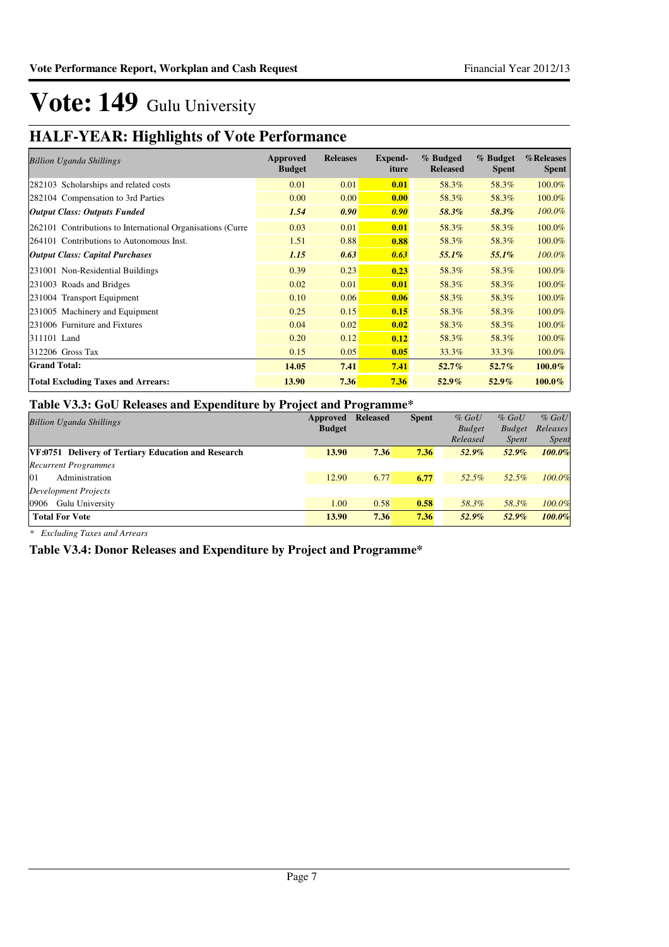### **HALF-YEAR: Highlights of Vote Performance**

| <b>Billion Uganda Shillings</b>                            | Approved<br><b>Budget</b> | <b>Releases</b> | Expend-<br>iture | % Budged<br><b>Released</b> | % Budget<br><b>Spent</b> | %Releases<br><b>Spent</b> |
|------------------------------------------------------------|---------------------------|-----------------|------------------|-----------------------------|--------------------------|---------------------------|
| 282103 Scholarships and related costs                      | 0.01                      | 0.01            | 0.01             | 58.3%                       | 58.3%                    | 100.0%                    |
| 282104 Compensation to 3rd Parties                         | 0.00                      | 0.00            | 0.00             | 58.3%                       | 58.3%                    | 100.0%                    |
| <b>Output Class: Outputs Funded</b>                        | 1.54                      | 0.90            | 0.90             | 58.3%                       | 58.3%                    | 100.0%                    |
| 262101 Contributions to International Organisations (Curre | 0.03                      | 0.01            | 0.01             | 58.3%                       | 58.3%                    | 100.0%                    |
| 264101 Contributions to Autonomous Inst.                   | 1.51                      | 0.88            | 0.88             | 58.3%                       | 58.3%                    | 100.0%                    |
| <b>Output Class: Capital Purchases</b>                     | 1.15                      | 0.63            | 0.63             | 55.1%                       | $55.1\%$                 | 100.0%                    |
| 231001 Non-Residential Buildings                           | 0.39                      | 0.23            | 0.23             | 58.3%                       | 58.3%                    | 100.0%                    |
| 231003 Roads and Bridges                                   | 0.02                      | 0.01            | 0.01             | 58.3%                       | 58.3%                    | 100.0%                    |
| 231004 Transport Equipment                                 | 0.10                      | 0.06            | 0.06             | 58.3%                       | 58.3%                    | 100.0%                    |
| 231005 Machinery and Equipment                             | 0.25                      | 0.15            | 0.15             | 58.3%                       | 58.3%                    | 100.0%                    |
| 231006 Furniture and Fixtures                              | 0.04                      | 0.02            | 0.02             | 58.3%                       | 58.3%                    | 100.0%                    |
| 311101 Land                                                | 0.20                      | 0.12            | 0.12             | 58.3%                       | 58.3%                    | 100.0%                    |
| $312206$ Gross Tax                                         | 0.15                      | 0.05            | 0.05             | 33.3%                       | 33.3%                    | 100.0%                    |
| <b>Grand Total:</b>                                        | 14.05                     | 7.41            | 7.41             | $52.7\%$                    | 52.7%                    | 100.0%                    |
| <b>Total Excluding Taxes and Arrears:</b>                  | 13.90                     | 7.36            | 7.36             | $52.9\%$                    | $52.9\%$                 | $100.0\%$                 |

#### **Table V3.3: GoU Releases and Expenditure by Project and Programme\***

| -                                                          | Approved      | $\overline{\phantom{a}}$<br><b>Released</b> | <b>Spent</b> | $%$ GoU       | $%$ GoU       | $%$ GoU      |
|------------------------------------------------------------|---------------|---------------------------------------------|--------------|---------------|---------------|--------------|
| <b>Billion Uganda Shillings</b>                            | <b>Budget</b> |                                             |              | <b>Budget</b> | <b>Budget</b> | Releases     |
|                                                            |               |                                             |              | Released      | <i>Spent</i>  | <i>Spent</i> |
| <b>VF:0751 Delivery of Tertiary Education and Research</b> | 13.90         | 7.36                                        | 7.36         | 52.9%         | 52.9%         | 100.0%       |
| <b>Recurrent Programmes</b>                                |               |                                             |              |               |               |              |
| Administration<br>01                                       | 12.90         | 6.77                                        | 6.77         | 52.5%         | 52.5%         | $100.0\%$    |
| <b>Development Projects</b>                                |               |                                             |              |               |               |              |
| Gulu University<br>0906                                    | 1.00          | 0.58                                        | 0.58         | 58.3%         | 58.3%         | $100.0\%$    |
| <b>Total For Vote</b>                                      | 13.90         | 7.36                                        | 7.36         | 52.9%         | 52.9%         | 100.0%       |

*\* Excluding Taxes and Arrears*

**Table V3.4: Donor Releases and Expenditure by Project and Programme\***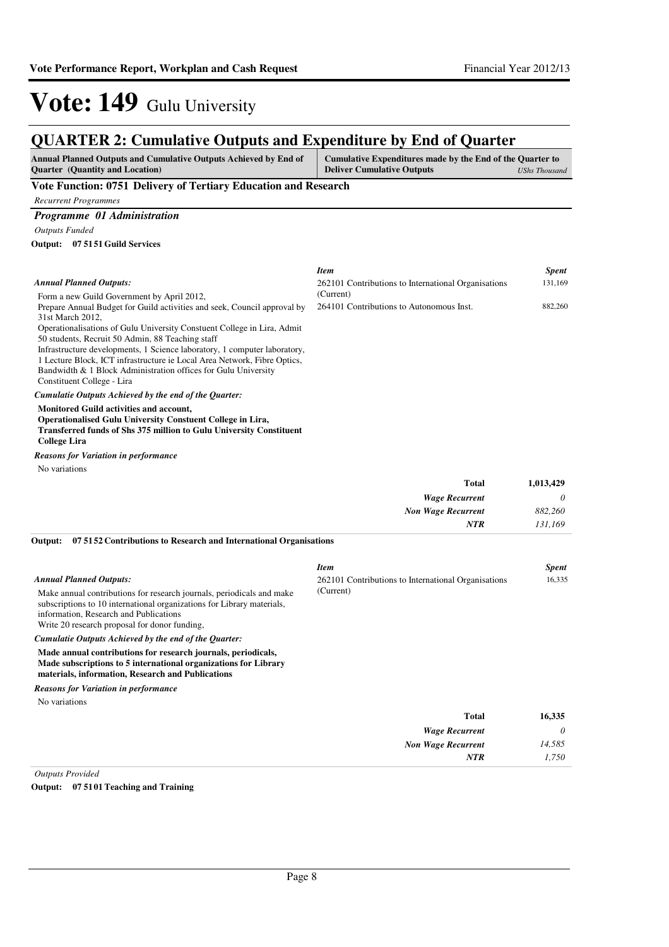#### **QUARTER 2: Cumulative Outputs and Expenditure by End of Quarter**

| <b>Annual Planned Outputs and Cumulative Outputs Achieved by End of</b> | Cumulative Expenditures made by the End of the Quarter to |               |
|-------------------------------------------------------------------------|-----------------------------------------------------------|---------------|
| <b>Ouarter</b> (Quantity and Location)                                  | <b>Deliver Cumulative Outputs</b>                         | UShs Thousand |

#### **Vote Function: 0751 Delivery of Tertiary Education and Research**

*Recurrent Programmes*

#### *Programme 01 Administration*

*Outputs Funded*

**07 5151 Guild Services Output:**

|                                                                                                                                                                                                                          | <b>Item</b>                                         | <i>Spent</i> |
|--------------------------------------------------------------------------------------------------------------------------------------------------------------------------------------------------------------------------|-----------------------------------------------------|--------------|
| <b>Annual Planned Outputs:</b>                                                                                                                                                                                           | 262101 Contributions to International Organisations | 131,169      |
| Form a new Guild Government by April 2012,                                                                                                                                                                               | (Current)                                           |              |
| Prepare Annual Budget for Guild activities and seek, Council approval by                                                                                                                                                 | 264101 Contributions to Autonomous Inst.            | 882,260      |
| 31st March 2012,                                                                                                                                                                                                         |                                                     |              |
| Operationalisations of Gulu University Constuent College in Lira, Admit                                                                                                                                                  |                                                     |              |
| 50 students, Recruit 50 Admin, 88 Teaching staff                                                                                                                                                                         |                                                     |              |
| Infrastructure developments, 1 Science laboratory, 1 computer laboratory,                                                                                                                                                |                                                     |              |
| 1 Lecture Block, ICT infrastructure ie Local Area Network, Fibre Optics,                                                                                                                                                 |                                                     |              |
| Bandwidth & 1 Block Administration offices for Gulu University                                                                                                                                                           |                                                     |              |
| Constituent College - Lira                                                                                                                                                                                               |                                                     |              |
| Cumulatie Outputs Achieved by the end of the Quarter:                                                                                                                                                                    |                                                     |              |
| <b>Monitored Guild activities and account,</b><br><b>Operationalised Gulu University Constuent College in Lira,</b><br><b>Transferred funds of Shs 375 million to Gulu University Constituent</b><br><b>College Lira</b> |                                                     |              |
| <b>Reasons for Variation in performance</b>                                                                                                                                                                              |                                                     |              |

No variations

| 1,013,429 | <b>Total</b>              |
|-----------|---------------------------|
| $\theta$  | <b>Wage Recurrent</b>     |
| 882,260   | <b>Non Wage Recurrent</b> |
| 131,169   | <b>NTR</b>                |

**07 5152 Contributions to Research and International Organisations Output:**

|                                                                                                                                                                                                                                                                              | <b>Item</b>                                                      | <b>Spent</b> |
|------------------------------------------------------------------------------------------------------------------------------------------------------------------------------------------------------------------------------------------------------------------------------|------------------------------------------------------------------|--------------|
| <b>Annual Planned Outputs:</b><br>Make annual contributions for research journals, periodicals and make<br>subscriptions to 10 international organizations for Library materials,<br>information, Research and Publications<br>Write 20 research proposal for donor funding, | 262101 Contributions to International Organisations<br>(Current) | 16,335       |
| Cumulatie Outputs Achieved by the end of the Ouarter:                                                                                                                                                                                                                        |                                                                  |              |
| Made annual contributions for research journals, periodicals,<br>Made subscriptions to 5 international organizations for Library<br>materials, information, Research and Publications                                                                                        |                                                                  |              |
| <b>Reasons for Variation in performance</b>                                                                                                                                                                                                                                  |                                                                  |              |
| No variations                                                                                                                                                                                                                                                                |                                                                  |              |
|                                                                                                                                                                                                                                                                              | Total                                                            | 16,335       |
|                                                                                                                                                                                                                                                                              | <b>Wage Recurrent</b>                                            | 0            |
|                                                                                                                                                                                                                                                                              | <b>Non Wage Recurrent</b>                                        | 14,585       |
|                                                                                                                                                                                                                                                                              | <b>NTR</b>                                                       | 1.750        |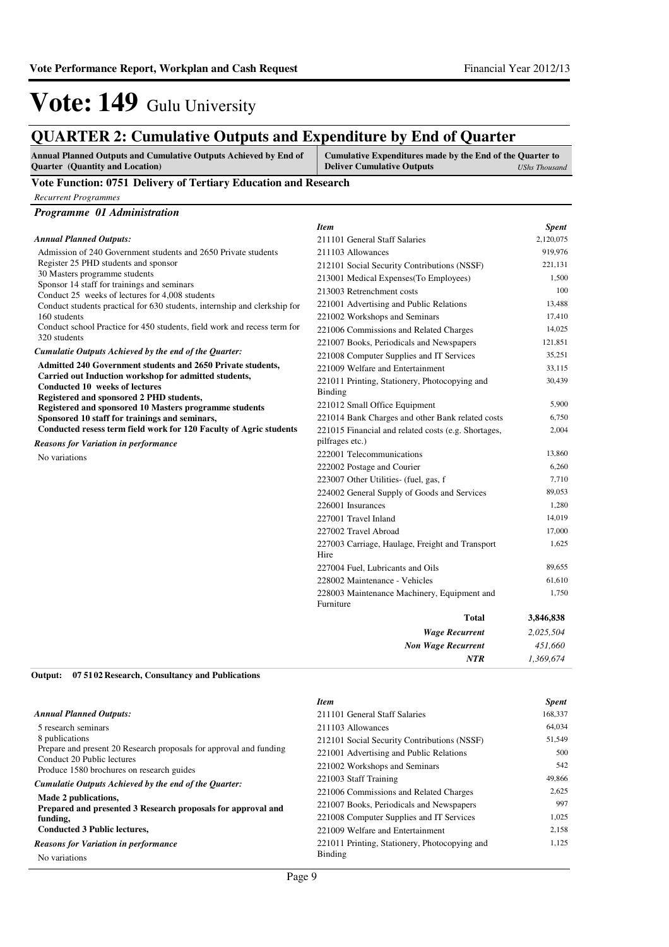### **QUARTER 2: Cumulative Outputs and Expenditure by End of Quarter**

| <b>Annual Planned Outputs and Cumulative Outputs Achieved by End of</b><br><b>Ouarter</b> (Quantity and Location) | Cumulative Expenditures made by the End of the Quarter to<br><b>Deliver Cumulative Outputs</b> | UShs Thousand |
|-------------------------------------------------------------------------------------------------------------------|------------------------------------------------------------------------------------------------|---------------|
| Vote Function: 0751 Delivery of Tertiary Education and Research                                                   |                                                                                                |               |

#### *Recurrent Programmes*

| Programme 01 Administration                                                                                                         |                                                          |           |
|-------------------------------------------------------------------------------------------------------------------------------------|----------------------------------------------------------|-----------|
|                                                                                                                                     | <b>Item</b>                                              | Spent     |
| <b>Annual Planned Outputs:</b>                                                                                                      | 211101 General Staff Salaries                            | 2,120,075 |
| Admission of 240 Government students and 2650 Private students                                                                      | 211103 Allowances                                        | 919,976   |
| Register 25 PHD students and sponsor                                                                                                | 212101 Social Security Contributions (NSSF)              | 221,131   |
| 30 Masters programme students                                                                                                       | 213001 Medical Expenses(To Employees)                    | 1,500     |
| Sponsor 14 staff for trainings and seminars<br>Conduct 25 weeks of lectures for 4,008 students                                      | 213003 Retrenchment costs                                | 100       |
| Conduct students practical for 630 students, internship and clerkship for                                                           | 221001 Advertising and Public Relations                  | 13,488    |
| 160 students                                                                                                                        | 221002 Workshops and Seminars                            | 17,410    |
| Conduct school Practice for 450 students, field work and recess term for                                                            | 221006 Commissions and Related Charges                   | 14,025    |
| 320 students                                                                                                                        | 221007 Books, Periodicals and Newspapers                 | 121,851   |
| Cumulatie Outputs Achieved by the end of the Quarter:                                                                               | 221008 Computer Supplies and IT Services                 | 35,251    |
| Admitted 240 Government students and 2650 Private students,                                                                         | 221009 Welfare and Entertainment                         | 33,115    |
| Carried out Induction workshop for admitted students,<br>Conducted 10 weeks of lectures<br>Registered and sponsored 2 PHD students, | 221011 Printing, Stationery, Photocopying and<br>Binding | 30,439    |
| Registered and sponsored 10 Masters programme students                                                                              | 221012 Small Office Equipment                            | 5,900     |
| Sponsored 10 staff for trainings and seminars,                                                                                      | 221014 Bank Charges and other Bank related costs         | 6,750     |
| Conducted resess term field work for 120 Faculty of Agric students                                                                  | 221015 Financial and related costs (e.g. Shortages,      | 2,004     |
| <b>Reasons for Variation in performance</b>                                                                                         | pilfrages etc.)                                          |           |
| No variations                                                                                                                       | 222001 Telecommunications                                | 13,860    |
|                                                                                                                                     | 222002 Postage and Courier                               | 6,260     |
|                                                                                                                                     | 223007 Other Utilities- (fuel, gas, f                    | 7,710     |
|                                                                                                                                     | 224002 General Supply of Goods and Services              | 89,053    |
|                                                                                                                                     | 226001 Insurances                                        | 1,280     |
|                                                                                                                                     | 227001 Travel Inland                                     | 14,019    |
|                                                                                                                                     | 227002 Travel Abroad                                     | 17,000    |
|                                                                                                                                     | 227003 Carriage, Haulage, Freight and Transport<br>Hire  | 1,625     |
|                                                                                                                                     | 227004 Fuel, Lubricants and Oils                         | 89,655    |
|                                                                                                                                     | 228002 Maintenance - Vehicles                            | 61,610    |
|                                                                                                                                     | 228003 Maintenance Machinery, Equipment and<br>Furniture | 1,750     |
|                                                                                                                                     | <b>Total</b>                                             | 3,846,838 |
|                                                                                                                                     | <b>Wage Recurrent</b>                                    | 2,025,504 |
|                                                                                                                                     | <b>Non Wage Recurrent</b>                                | 451,660   |
|                                                                                                                                     | <b>NTR</b>                                               | 1,369,674 |

**07 5102 Research, Consultancy and Publications Output:**

|                                                                                                  | <b>Item</b>                                   | <b>Spent</b> |
|--------------------------------------------------------------------------------------------------|-----------------------------------------------|--------------|
| <b>Annual Planned Outputs:</b>                                                                   | 211101 General Staff Salaries                 | 168,337      |
| 5 research seminars                                                                              | 211103 Allowances                             | 64,034       |
| 8 publications                                                                                   | 212101 Social Security Contributions (NSSF)   | 51.549       |
| Prepare and present 20 Research proposals for approval and funding<br>Conduct 20 Public lectures | 221001 Advertising and Public Relations       | 500          |
| Produce 1580 brochures on research guides                                                        | 221002 Workshops and Seminars                 | 542          |
| Cumulatie Outputs Achieved by the end of the Ouarter:                                            | 221003 Staff Training                         | 49,866       |
| Made 2 publications,                                                                             | 221006 Commissions and Related Charges        | 2,625        |
| Prepared and presented 3 Research proposals for approval and                                     | 221007 Books, Periodicals and Newspapers      | 997          |
| funding,                                                                                         | 221008 Computer Supplies and IT Services      | 1,025        |
| <b>Conducted 3 Public lectures,</b>                                                              | 221009 Welfare and Entertainment              | 2,158        |
| <b>Reasons for Variation in performance</b>                                                      | 221011 Printing, Stationery, Photocopying and | 1.125        |
| No variations                                                                                    | Binding                                       |              |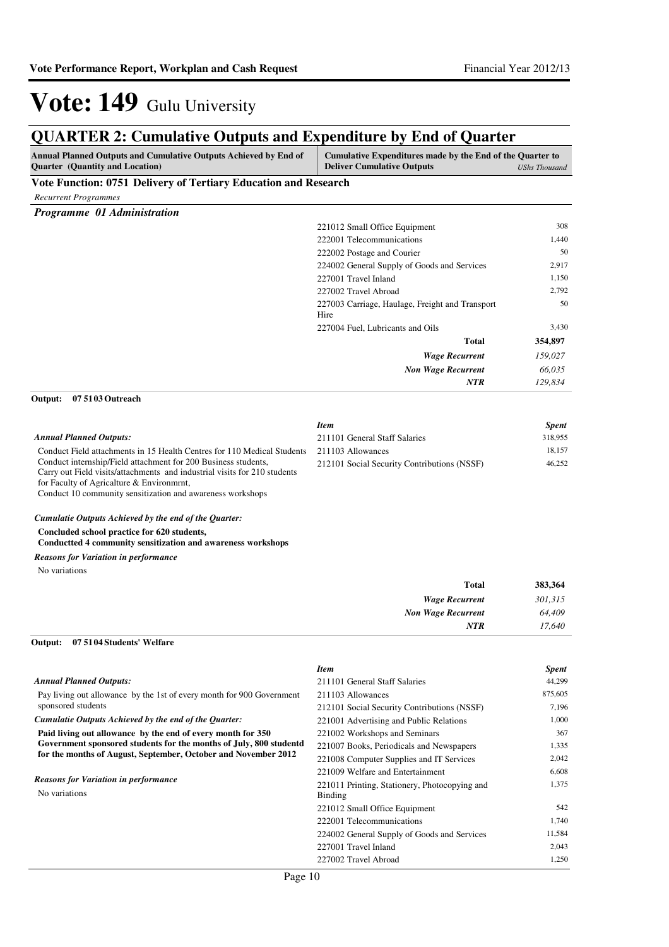| <b>QUARTER 2: Cumulative Outputs and Expenditure by End of Quarter</b>                                                                                                                                                                                 |                                                                                                |                      |
|--------------------------------------------------------------------------------------------------------------------------------------------------------------------------------------------------------------------------------------------------------|------------------------------------------------------------------------------------------------|----------------------|
| Annual Planned Outputs and Cumulative Outputs Achieved by End of<br>Quarter (Quantity and Location)                                                                                                                                                    | Cumulative Expenditures made by the End of the Quarter to<br><b>Deliver Cumulative Outputs</b> | <b>UShs Thousand</b> |
| Vote Function: 0751 Delivery of Tertiary Education and Research                                                                                                                                                                                        |                                                                                                |                      |
| <b>Recurrent Programmes</b>                                                                                                                                                                                                                            |                                                                                                |                      |
| Programme 01 Administration                                                                                                                                                                                                                            |                                                                                                |                      |
|                                                                                                                                                                                                                                                        | 221012 Small Office Equipment                                                                  | 308                  |
|                                                                                                                                                                                                                                                        | 222001 Telecommunications                                                                      | 1,440                |
|                                                                                                                                                                                                                                                        | 222002 Postage and Courier                                                                     | 50                   |
|                                                                                                                                                                                                                                                        | 224002 General Supply of Goods and Services                                                    | 2,917                |
|                                                                                                                                                                                                                                                        | 227001 Travel Inland                                                                           | 1,150                |
|                                                                                                                                                                                                                                                        | 227002 Travel Abroad                                                                           | 2,792                |
|                                                                                                                                                                                                                                                        | 227003 Carriage, Haulage, Freight and Transport<br>Hire                                        | 50                   |
|                                                                                                                                                                                                                                                        | 227004 Fuel, Lubricants and Oils                                                               | 3,430                |
|                                                                                                                                                                                                                                                        | Total                                                                                          | 354,897              |
|                                                                                                                                                                                                                                                        | <b>Wage Recurrent</b>                                                                          | 159,027              |
|                                                                                                                                                                                                                                                        | <b>Non Wage Recurrent</b>                                                                      | 66,035               |
|                                                                                                                                                                                                                                                        | <b>NTR</b>                                                                                     | 129,834              |
| 07 51 03 Outreach<br>Output:                                                                                                                                                                                                                           |                                                                                                |                      |
|                                                                                                                                                                                                                                                        | <b>Item</b>                                                                                    | <b>Spent</b>         |
| <b>Annual Planned Outputs:</b>                                                                                                                                                                                                                         | 211101 General Staff Salaries                                                                  | 318,955              |
| Conduct Field attachments in 15 Health Centres for 110 Medical Students                                                                                                                                                                                | 211103 Allowances                                                                              | 18,157               |
| Conduct internship/Field attachment for 200 Business students,<br>Carry out Field visits/attachments and industrial visits for 210 students<br>for Faculty of Agricalture & Environment,<br>Conduct 10 community sensitization and awareness workshops | 212101 Social Security Contributions (NSSF)                                                    | 46,252               |
| Cumulatie Outputs Achieved by the end of the Quarter:                                                                                                                                                                                                  |                                                                                                |                      |
| Concluded school practice for 620 students,<br>Conductted 4 community sensitization and awareness workshops                                                                                                                                            |                                                                                                |                      |
| <b>Reasons for Variation in performance</b>                                                                                                                                                                                                            |                                                                                                |                      |
| No variations                                                                                                                                                                                                                                          |                                                                                                |                      |
|                                                                                                                                                                                                                                                        | <b>Total</b>                                                                                   | 383,364              |
|                                                                                                                                                                                                                                                        | <b>Wage Recurrent</b>                                                                          | 301,315              |
|                                                                                                                                                                                                                                                        | Non Wage Recurrent                                                                             | 64,409               |
|                                                                                                                                                                                                                                                        | <b>NTR</b>                                                                                     | 17,640               |
| Output:<br>07 51 04 Students' Welfare                                                                                                                                                                                                                  |                                                                                                |                      |
|                                                                                                                                                                                                                                                        | <b>Item</b>                                                                                    | <b>Spent</b>         |
| <b>Annual Planned Outputs:</b>                                                                                                                                                                                                                         | 211101 General Staff Salaries                                                                  | 44,299               |
| Pay living out allowance by the 1st of every month for 900 Government                                                                                                                                                                                  | 211103 Allowances                                                                              | 875,605              |
| sponsored students                                                                                                                                                                                                                                     | 212101 Social Security Contributions (NSSF)                                                    | 7,196                |
| Cumulatie Outputs Achieved by the end of the Quarter:                                                                                                                                                                                                  | 221001 Advertising and Public Relations                                                        | 1,000                |
| Paid living out allowance by the end of every month for 350<br>Government sponsored students for the months of July, 800 studentd                                                                                                                      | 221002 Workshops and Seminars                                                                  | 367                  |
| for the months of August, September, October and November 2012                                                                                                                                                                                         | 221007 Books, Periodicals and Newspapers                                                       | 1,335                |
|                                                                                                                                                                                                                                                        | 221008 Computer Supplies and IT Services                                                       | 2,042                |
| <b>Reasons for Variation in performance</b>                                                                                                                                                                                                            | 221009 Welfare and Entertainment                                                               | 6,608<br>1,375       |
| No variations                                                                                                                                                                                                                                          | 221011 Printing, Stationery, Photocopying and<br><b>Binding</b>                                |                      |
|                                                                                                                                                                                                                                                        | 221012 Small Office Equipment                                                                  | 542                  |
|                                                                                                                                                                                                                                                        | 222001 Telecommunications                                                                      | 1,740                |
|                                                                                                                                                                                                                                                        | 224002 General Supply of Goods and Services                                                    | 11,584               |

227001 Travel Inland 2,043 227002 Travel Abroad 1,250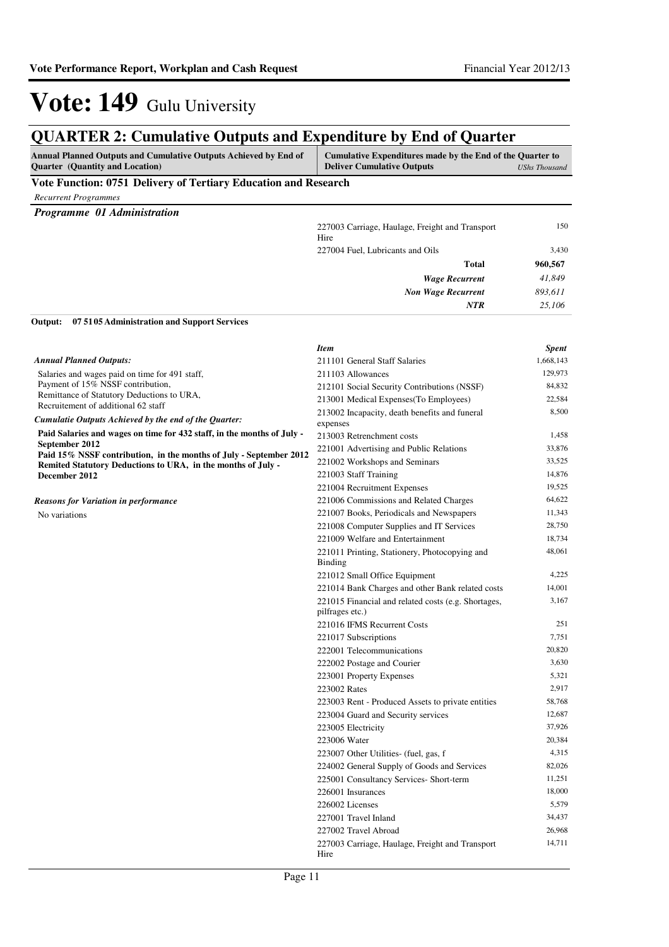*41,849 893,611 25,106*

**960,567**

*Wage Recurrent Non Wage Recurrent*

227004 Fuel, Lubricants and Oils 3,430

**Total**

*NTR*

# Vote: 149 Gulu University

### **QUARTER 2: Cumulative Outputs and Expenditure by End of Quarter**

| <b>Annual Planned Outputs and Cumulative Outputs Achieved by End of</b><br><b>Ouarter</b> (Quantity and Location) | Cumulative Expenditures made by the End of the Quarter to<br><b>Deliver Cumulative Outputs</b> | UShs Thousand |
|-------------------------------------------------------------------------------------------------------------------|------------------------------------------------------------------------------------------------|---------------|
| Vote Function: 0751 Delivery of Tertiary Education and Research                                                   |                                                                                                |               |
| <b>Recurrent Programmes</b>                                                                                       |                                                                                                |               |
| <b>Programme 01 Administration</b>                                                                                |                                                                                                |               |
|                                                                                                                   | 227003 Carriage, Haulage, Freight and Transport<br>Hire                                        | 150           |

#### **07 5105 Administration and Support Services Output:**

|                                                                                              | <b>Item</b>                                                            | <b>Spent</b> |
|----------------------------------------------------------------------------------------------|------------------------------------------------------------------------|--------------|
| <b>Annual Planned Outputs:</b>                                                               | 211101 General Staff Salaries                                          | 1,668,143    |
| Salaries and wages paid on time for 491 staff,                                               | 211103 Allowances                                                      | 129,973      |
| Payment of 15% NSSF contribution,                                                            | 212101 Social Security Contributions (NSSF)                            | 84,832       |
| Remittance of Statutory Deductions to URA,                                                   | 213001 Medical Expenses (To Employees)                                 | 22,584       |
| Recruitement of additional 62 staff<br>Cumulatie Outputs Achieved by the end of the Quarter: | 213002 Incapacity, death benefits and funeral<br>expenses              | 8,500        |
| Paid Salaries and wages on time for 432 staff, in the months of July -                       | 213003 Retrenchment costs                                              | 1,458        |
| September 2012                                                                               | 221001 Advertising and Public Relations                                | 33,876       |
| Paid 15% NSSF contribution, in the months of July - September 2012                           | 221002 Workshops and Seminars                                          | 33,525       |
| Remited Statutory Deductions to URA, in the months of July -<br>December 2012                | 221003 Staff Training                                                  | 14,876       |
|                                                                                              | 221004 Recruitment Expenses                                            | 19,525       |
| Reasons for Variation in performance                                                         | 221006 Commissions and Related Charges                                 | 64,622       |
| No variations                                                                                | 221007 Books, Periodicals and Newspapers                               | 11,343       |
|                                                                                              | 221008 Computer Supplies and IT Services                               | 28,750       |
|                                                                                              | 221009 Welfare and Entertainment                                       | 18,734       |
|                                                                                              | 221011 Printing, Stationery, Photocopying and                          | 48,061       |
|                                                                                              | Binding                                                                |              |
|                                                                                              | 221012 Small Office Equipment                                          | 4,225        |
|                                                                                              | 221014 Bank Charges and other Bank related costs                       | 14,001       |
|                                                                                              | 221015 Financial and related costs (e.g. Shortages,<br>pilfrages etc.) | 3,167        |
|                                                                                              | 221016 IFMS Recurrent Costs                                            | 251          |
|                                                                                              | 221017 Subscriptions                                                   | 7,751        |
|                                                                                              | 222001 Telecommunications                                              | 20,820       |
|                                                                                              | 222002 Postage and Courier                                             | 3,630        |
|                                                                                              | 223001 Property Expenses                                               | 5,321        |
|                                                                                              | 223002 Rates                                                           | 2,917        |
|                                                                                              | 223003 Rent - Produced Assets to private entities                      | 58,768       |
|                                                                                              | 223004 Guard and Security services                                     | 12,687       |
|                                                                                              | 223005 Electricity                                                     | 37,926       |
|                                                                                              | 223006 Water                                                           | 20,384       |
|                                                                                              | 223007 Other Utilities- (fuel, gas, f                                  | 4,315        |
|                                                                                              | 224002 General Supply of Goods and Services                            | 82,026       |
|                                                                                              | 225001 Consultancy Services- Short-term                                | 11,251       |
|                                                                                              | 226001 Insurances                                                      | 18,000       |
|                                                                                              | 226002 Licenses                                                        | 5,579        |
|                                                                                              | 227001 Travel Inland                                                   | 34,437       |
|                                                                                              | 227002 Travel Abroad                                                   | 26,968       |
|                                                                                              | 227003 Carriage, Haulage, Freight and Transport<br>Hire                | 14,711       |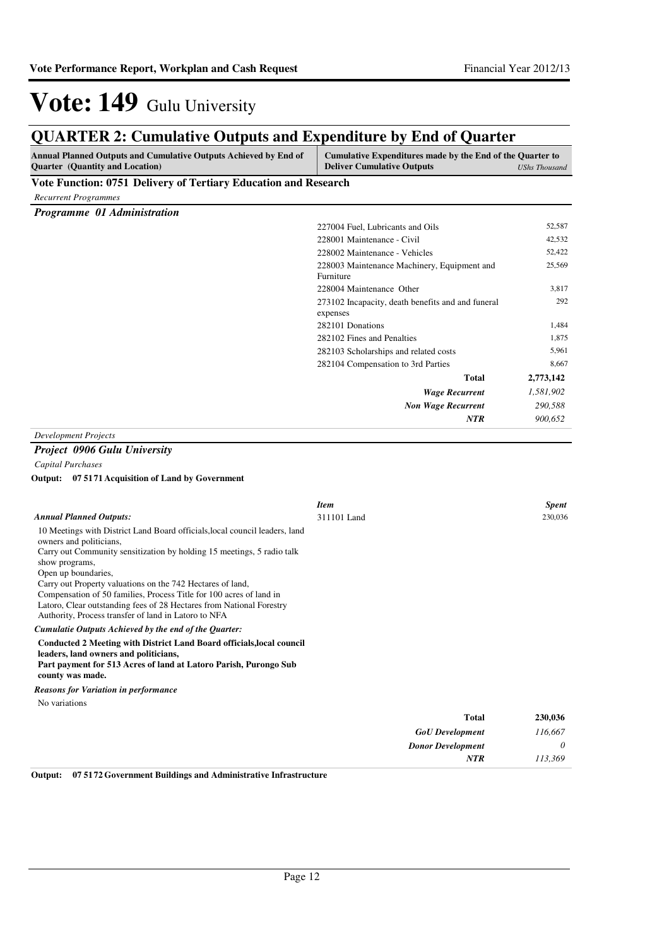| <b>QUARTER 2: Cumulative Outputs and Expenditure by End of Quarter</b>                                                                                                                                                                                                                                                                                                                                                                 |                                                                                                |                      |
|----------------------------------------------------------------------------------------------------------------------------------------------------------------------------------------------------------------------------------------------------------------------------------------------------------------------------------------------------------------------------------------------------------------------------------------|------------------------------------------------------------------------------------------------|----------------------|
| Annual Planned Outputs and Cumulative Outputs Achieved by End of<br>Quarter (Quantity and Location)                                                                                                                                                                                                                                                                                                                                    | Cumulative Expenditures made by the End of the Quarter to<br><b>Deliver Cumulative Outputs</b> | <b>UShs Thousand</b> |
| Vote Function: 0751 Delivery of Tertiary Education and Research                                                                                                                                                                                                                                                                                                                                                                        |                                                                                                |                      |
| <b>Recurrent Programmes</b>                                                                                                                                                                                                                                                                                                                                                                                                            |                                                                                                |                      |
| Programme 01 Administration                                                                                                                                                                                                                                                                                                                                                                                                            |                                                                                                |                      |
|                                                                                                                                                                                                                                                                                                                                                                                                                                        | 227004 Fuel, Lubricants and Oils                                                               | 52,587               |
|                                                                                                                                                                                                                                                                                                                                                                                                                                        | 228001 Maintenance - Civil                                                                     | 42,532               |
|                                                                                                                                                                                                                                                                                                                                                                                                                                        | 228002 Maintenance - Vehicles                                                                  | 52,422               |
|                                                                                                                                                                                                                                                                                                                                                                                                                                        | 228003 Maintenance Machinery, Equipment and<br>Furniture                                       | 25,569               |
|                                                                                                                                                                                                                                                                                                                                                                                                                                        | 228004 Maintenance Other                                                                       | 3,817                |
|                                                                                                                                                                                                                                                                                                                                                                                                                                        | 273102 Incapacity, death benefits and and funeral<br>expenses                                  | 292                  |
|                                                                                                                                                                                                                                                                                                                                                                                                                                        | 282101 Donations                                                                               | 1,484                |
|                                                                                                                                                                                                                                                                                                                                                                                                                                        | 282102 Fines and Penalties                                                                     | 1,875                |
|                                                                                                                                                                                                                                                                                                                                                                                                                                        | 282103 Scholarships and related costs                                                          | 5,961                |
|                                                                                                                                                                                                                                                                                                                                                                                                                                        | 282104 Compensation to 3rd Parties                                                             | 8,667                |
|                                                                                                                                                                                                                                                                                                                                                                                                                                        | Total                                                                                          | 2,773,142            |
|                                                                                                                                                                                                                                                                                                                                                                                                                                        | <b>Wage Recurrent</b>                                                                          | 1,581,902            |
|                                                                                                                                                                                                                                                                                                                                                                                                                                        | <b>Non Wage Recurrent</b>                                                                      | 290,588              |
|                                                                                                                                                                                                                                                                                                                                                                                                                                        | NTR                                                                                            | 900,652              |
| <b>Development Projects</b>                                                                                                                                                                                                                                                                                                                                                                                                            |                                                                                                |                      |
| <b>Project 0906 Gulu University</b>                                                                                                                                                                                                                                                                                                                                                                                                    |                                                                                                |                      |
| Capital Purchases                                                                                                                                                                                                                                                                                                                                                                                                                      |                                                                                                |                      |
| 07 51 71 Acquisition of Land by Government<br>Output:                                                                                                                                                                                                                                                                                                                                                                                  |                                                                                                |                      |
|                                                                                                                                                                                                                                                                                                                                                                                                                                        | <b>Item</b>                                                                                    | <b>Spent</b>         |
| <b>Annual Planned Outputs:</b>                                                                                                                                                                                                                                                                                                                                                                                                         | 311101 Land                                                                                    | 230,036              |
| 10 Meetings with District Land Board officials, local council leaders, land<br>owners and politicians,<br>Carry out Community sensitization by holding 15 meetings, 5 radio talk<br>show programs,<br>Open up boundaries,<br>Carry out Property valuations on the 742 Hectares of land,<br>Compensation of 50 families, Process Title for 100 acres of land in<br>Latoro, Clear outstanding fees of 28 Hectares from National Forestry |                                                                                                |                      |
| Authority, Process transfer of land in Latoro to NFA                                                                                                                                                                                                                                                                                                                                                                                   |                                                                                                |                      |
| Cumulatie Outputs Achieved by the end of the Ouarter:                                                                                                                                                                                                                                                                                                                                                                                  |                                                                                                |                      |
| Conducted 2 Meeting with District Land Board officials, local council<br>leaders, land owners and politicians,<br>Part payment for 513 Acres of land at Latoro Parish, Purongo Sub<br>county was made.                                                                                                                                                                                                                                 |                                                                                                |                      |
| <b>Reasons for Variation in performance</b>                                                                                                                                                                                                                                                                                                                                                                                            |                                                                                                |                      |
| No variations                                                                                                                                                                                                                                                                                                                                                                                                                          |                                                                                                |                      |
|                                                                                                                                                                                                                                                                                                                                                                                                                                        | <b>Total</b>                                                                                   | 230,036              |
|                                                                                                                                                                                                                                                                                                                                                                                                                                        | <b>GoU</b> Development                                                                         | 116,667              |
|                                                                                                                                                                                                                                                                                                                                                                                                                                        | <b>Donor Development</b>                                                                       | 0                    |
|                                                                                                                                                                                                                                                                                                                                                                                                                                        | NTR                                                                                            | 113,369              |

**Output: 07 5172 Government Buildings and Administrative Infrastructure**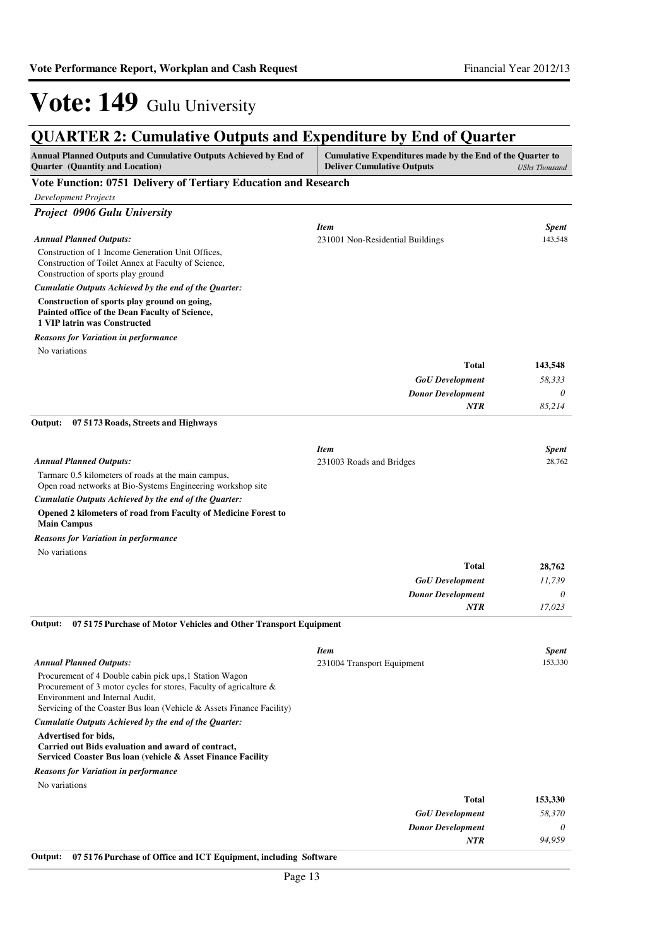| <b>QUARTER 2: Cumulative Outputs and Expenditure by End of Quarter</b>                                                                                           |                                                                                                |                      |
|------------------------------------------------------------------------------------------------------------------------------------------------------------------|------------------------------------------------------------------------------------------------|----------------------|
| <b>Annual Planned Outputs and Cumulative Outputs Achieved by End of</b><br><b>Quarter</b> (Quantity and Location)                                                | Cumulative Expenditures made by the End of the Quarter to<br><b>Deliver Cumulative Outputs</b> | <b>UShs Thousand</b> |
| Vote Function: 0751 Delivery of Tertiary Education and Research                                                                                                  |                                                                                                |                      |
| <b>Development Projects</b>                                                                                                                                      |                                                                                                |                      |
| Project 0906 Gulu University                                                                                                                                     |                                                                                                |                      |
|                                                                                                                                                                  | <b>Item</b>                                                                                    | <b>Spent</b>         |
| <b>Annual Planned Outputs:</b>                                                                                                                                   | 231001 Non-Residential Buildings                                                               | 143,548              |
| Construction of 1 Income Generation Unit Offices,<br>Construction of Toilet Annex at Faculty of Science,<br>Construction of sports play ground                   |                                                                                                |                      |
| Cumulatie Outputs Achieved by the end of the Quarter:                                                                                                            |                                                                                                |                      |
| Construction of sports play ground on going,<br>Painted office of the Dean Faculty of Science,<br>1 VIP latrin was Constructed                                   |                                                                                                |                      |
| <b>Reasons for Variation in performance</b>                                                                                                                      |                                                                                                |                      |
| No variations                                                                                                                                                    |                                                                                                |                      |
|                                                                                                                                                                  | <b>Total</b>                                                                                   | 143,548              |
|                                                                                                                                                                  | <b>GoU</b> Development                                                                         | 58,333               |
|                                                                                                                                                                  | <b>Donor Development</b>                                                                       | 0                    |
|                                                                                                                                                                  | <b>NTR</b>                                                                                     | 85,214               |
| Output:<br>07 51 73 Roads, Streets and Highways                                                                                                                  |                                                                                                |                      |
|                                                                                                                                                                  | <b>Item</b>                                                                                    | Spent                |
| <b>Annual Planned Outputs:</b>                                                                                                                                   | 231003 Roads and Bridges                                                                       | 28,762               |
| Tarmarc 0.5 kilometers of roads at the main campus,<br>Open road networks at Bio-Systems Engineering workshop site                                               |                                                                                                |                      |
| Cumulatie Outputs Achieved by the end of the Quarter:                                                                                                            |                                                                                                |                      |
| Opened 2 kilometers of road from Faculty of Medicine Forest to<br><b>Main Campus</b>                                                                             |                                                                                                |                      |
| <b>Reasons for Variation in performance</b>                                                                                                                      |                                                                                                |                      |
| No variations                                                                                                                                                    |                                                                                                |                      |
|                                                                                                                                                                  | Total                                                                                          | 28,762               |
|                                                                                                                                                                  | <b>GoU</b> Development                                                                         | 11.739               |
|                                                                                                                                                                  | <b>Donor Development</b>                                                                       | 0<br>17,023          |
|                                                                                                                                                                  | <b>NTR</b>                                                                                     |                      |
| 07 5175 Purchase of Motor Vehicles and Other Transport Equipment<br>Output:                                                                                      |                                                                                                |                      |
|                                                                                                                                                                  | <b>Item</b>                                                                                    | <b>Spent</b>         |
| <b>Annual Planned Outputs:</b>                                                                                                                                   | 231004 Transport Equipment                                                                     | 153,330              |
| Procurement of 4 Double cabin pick ups, 1 Station Wagon<br>Procurement of 3 motor cycles for stores, Faculty of agricalture &<br>Environment and Internal Audit. |                                                                                                |                      |
| Servicing of the Coaster Bus loan (Vehicle & Assets Finance Facility)                                                                                            |                                                                                                |                      |
| Cumulatie Outputs Achieved by the end of the Quarter:                                                                                                            |                                                                                                |                      |
| <b>Advertised for bids.</b>                                                                                                                                      |                                                                                                |                      |
| Carried out Bids evaluation and award of contract,<br>Serviced Coaster Bus Ioan (vehicle & Asset Finance Facility                                                |                                                                                                |                      |
| <b>Reasons for Variation in performance</b>                                                                                                                      |                                                                                                |                      |
| No variations                                                                                                                                                    |                                                                                                |                      |
|                                                                                                                                                                  | Total                                                                                          | 153,330              |
|                                                                                                                                                                  | <b>GoU</b> Development                                                                         | 58,370               |
|                                                                                                                                                                  | <b>Donor Development</b>                                                                       | 0                    |
|                                                                                                                                                                  | <b>NTR</b>                                                                                     | 94,959               |

**Output: 07 5176 Purchase of Office and ICT Equipment, including Software**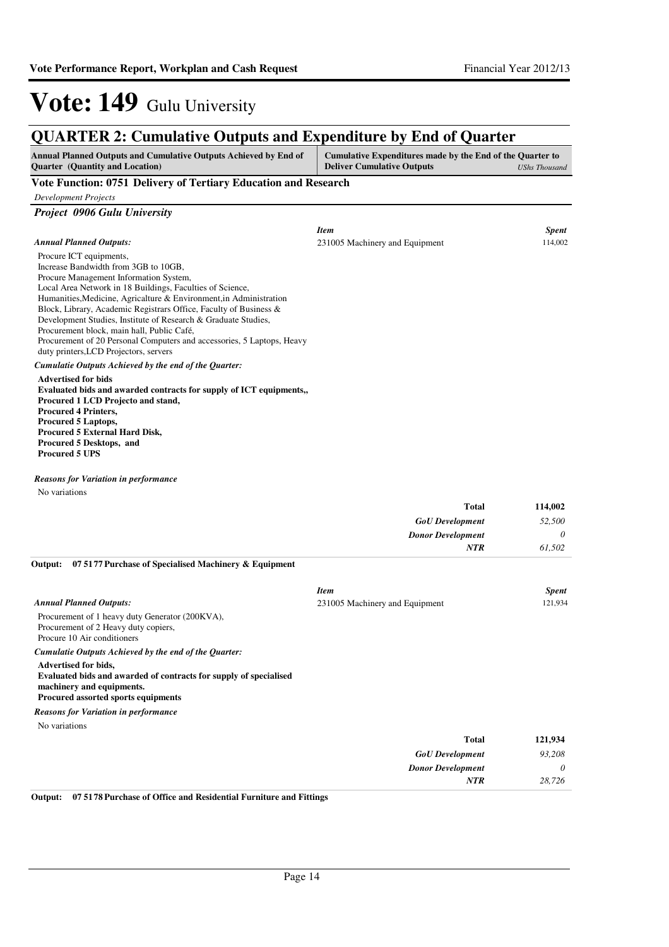**Total**

**114,002**

# Vote: 149 Gulu University

#### **QUARTER 2: Cumulative Outputs and Expenditure by End of Quarter Annual Planned Outputs and Cumulative Outputs Achieved by End of Quarter (Quantity and Location) Cumulative Expenditures made by the End of the Quarter to Deliver Cumulative Outputs** *UShs Thousand* **Vote Function: 0751 Delivery of Tertiary Education and Research** *Development Projects Project 0906 Gulu University*

|                                                                                                                                                                                                                                                                                                                                                                                                                                                                                                             | <b>Item</b>                    | <b>Spent</b> |
|-------------------------------------------------------------------------------------------------------------------------------------------------------------------------------------------------------------------------------------------------------------------------------------------------------------------------------------------------------------------------------------------------------------------------------------------------------------------------------------------------------------|--------------------------------|--------------|
| <b>Annual Planned Outputs:</b>                                                                                                                                                                                                                                                                                                                                                                                                                                                                              | 231005 Machinery and Equipment | 114,002      |
| Procure ICT equipments,<br>Increase Bandwidth from 3GB to 10GB,<br>Procure Management Information System,<br>Local Area Network in 18 Buildings, Faculties of Science,<br>Humanities, Medicine, Agricalture & Environment, in Administration<br>Block, Library, Academic Registrars Office, Faculty of Business &<br>Development Studies, Institute of Research & Graduate Studies,<br>Procurement block, main hall, Public Café,<br>Procurement of 20 Personal Computers and accessories, 5 Laptops, Heavy |                                |              |
| duty printers, LCD Projectors, servers                                                                                                                                                                                                                                                                                                                                                                                                                                                                      |                                |              |
| Cumulatie Outputs Achieved by the end of the Quarter:                                                                                                                                                                                                                                                                                                                                                                                                                                                       |                                |              |
| <b>Advertised for bids</b><br>Evaluated bids and awarded contracts for supply of ICT equipments,<br>Procured 1 LCD Projecto and stand,<br><b>Procured 4 Printers,</b><br><b>Procured 5 Laptops,</b><br><b>Procured 5 External Hard Disk,</b><br>Procured 5 Desktops, and<br><b>Procured 5 UPS</b>                                                                                                                                                                                                           |                                |              |

*Reasons for Variation in performance*

No variations

|                                                                  | 1 otal                         | 114,002      |
|------------------------------------------------------------------|--------------------------------|--------------|
|                                                                  | <b>GoU</b> Development         | 52,500       |
|                                                                  | <b>Donor Development</b>       | $\theta$     |
|                                                                  | <b>NTR</b>                     | 61.502       |
| 07 5177 Purchase of Specialised Machinery & Equipment<br>Output: |                                |              |
|                                                                  | <b>Item</b>                    | <b>Spent</b> |
| <b>Annual Planned Outputs:</b>                                   | 231005 Machinery and Equipment | 121,934      |
| Procurement of 1 heavy duty Generator (200KVA),                  |                                |              |
| Procurement of 2 Heavy duty copiers,                             |                                |              |

Procure 10 Air conditioners

*Cumulatie Outputs Achieved by the end of the Quarter:*

**Advertised for bids, Evaluated bids and awarded of contracts for supply of specialised machinery and equipments. Procured assorted sports equipments**

*Reasons for Variation in performance*

No variations

| 121,934  | <b>Total</b>             |
|----------|--------------------------|
| 93,208   | <b>GoU</b> Development   |
| $\theta$ | <b>Donor Development</b> |
| 28,726   | <b>NTR</b>               |
|          |                          |

**Output: 07 5178 Purchase of Office and Residential Furniture and Fittings**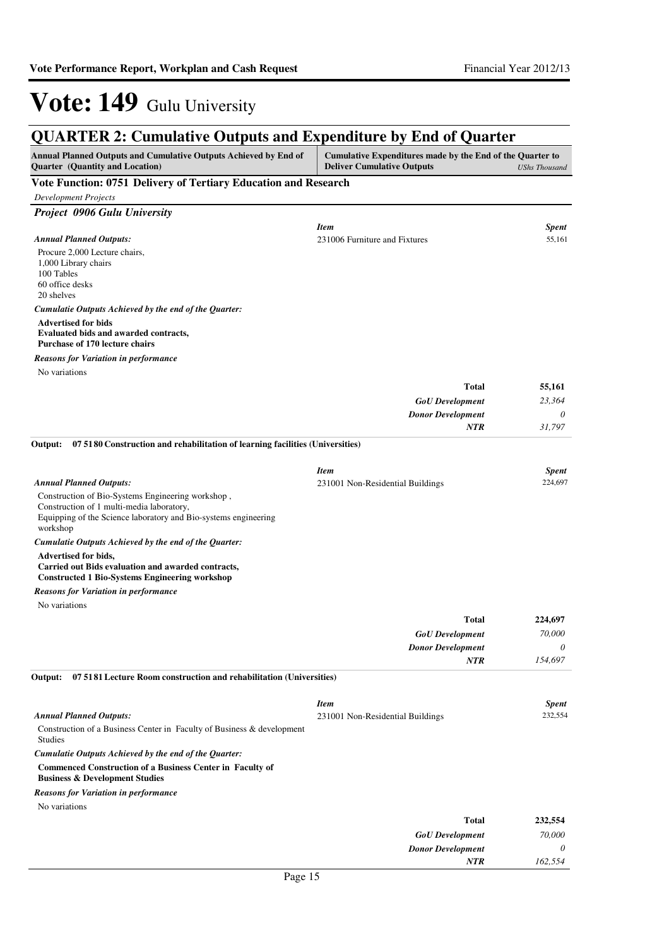| <b>QUARTER 2: Cumulative Outputs and Expenditure by End of Quarter</b>                                                                                                        |                                                                                                |                         |
|-------------------------------------------------------------------------------------------------------------------------------------------------------------------------------|------------------------------------------------------------------------------------------------|-------------------------|
| Annual Planned Outputs and Cumulative Outputs Achieved by End of<br><b>Quarter</b> (Quantity and Location)                                                                    | Cumulative Expenditures made by the End of the Quarter to<br><b>Deliver Cumulative Outputs</b> | <b>UShs Thousand</b>    |
| Vote Function: 0751 Delivery of Tertiary Education and Research                                                                                                               |                                                                                                |                         |
| <b>Development Projects</b>                                                                                                                                                   |                                                                                                |                         |
| <b>Project 0906 Gulu University</b>                                                                                                                                           |                                                                                                |                         |
| <b>Annual Planned Outputs:</b><br>Procure 2,000 Lecture chairs,<br>1,000 Library chairs<br>100 Tables                                                                         | <b>Item</b><br>231006 Furniture and Fixtures                                                   | <b>Spent</b><br>55,161  |
| 60 office desks<br>20 shelves                                                                                                                                                 |                                                                                                |                         |
| Cumulatie Outputs Achieved by the end of the Quarter:                                                                                                                         |                                                                                                |                         |
| <b>Advertised for bids</b><br>Evaluated bids and awarded contracts,<br><b>Purchase of 170 lecture chairs</b>                                                                  |                                                                                                |                         |
| <b>Reasons for Variation in performance</b>                                                                                                                                   |                                                                                                |                         |
| No variations                                                                                                                                                                 |                                                                                                |                         |
|                                                                                                                                                                               | Total                                                                                          | 55,161                  |
|                                                                                                                                                                               | <b>GoU</b> Development                                                                         | 23,364                  |
|                                                                                                                                                                               | <b>Donor Development</b>                                                                       | 0                       |
|                                                                                                                                                                               | <b>NTR</b>                                                                                     | 31,797                  |
| 07 5180 Construction and rehabilitation of learning facilities (Universities)<br>Output:                                                                                      |                                                                                                |                         |
|                                                                                                                                                                               |                                                                                                |                         |
| <b>Annual Planned Outputs:</b>                                                                                                                                                | <b>Item</b><br>231001 Non-Residential Buildings                                                | <b>Spent</b><br>224,697 |
| Construction of Bio-Systems Engineering workshop,<br>Construction of 1 multi-media laboratory,<br>Equipping of the Science laboratory and Bio-systems engineering<br>workshop |                                                                                                |                         |
| Cumulatie Outputs Achieved by the end of the Quarter:                                                                                                                         |                                                                                                |                         |
| Advertised for bids,<br>Carried out Bids evaluation and awarded contracts,<br><b>Constructed 1 Bio-Systems Engineering workshop</b>                                           |                                                                                                |                         |
| <b>Reasons for Variation in performance</b>                                                                                                                                   |                                                                                                |                         |
| No variations                                                                                                                                                                 |                                                                                                |                         |
|                                                                                                                                                                               | Total                                                                                          | 224,697                 |
|                                                                                                                                                                               | <b>GoU</b> Development                                                                         | 70,000                  |
|                                                                                                                                                                               | <b>Donor Development</b>                                                                       | 0                       |
|                                                                                                                                                                               | <b>NTR</b>                                                                                     | 154,697                 |
| Output:<br>07 51 81 Lecture Room construction and rehabilitation (Universities)                                                                                               |                                                                                                |                         |
|                                                                                                                                                                               | <b>Item</b>                                                                                    | <b>Spent</b>            |
| <b>Annual Planned Outputs:</b>                                                                                                                                                | 231001 Non-Residential Buildings                                                               | 232,554                 |
| Construction of a Business Center in Faculty of Business & development<br><b>Studies</b>                                                                                      |                                                                                                |                         |
| Cumulatie Outputs Achieved by the end of the Quarter:                                                                                                                         |                                                                                                |                         |
| <b>Commenced Construction of a Business Center in Faculty of</b><br><b>Business &amp; Development Studies</b>                                                                 |                                                                                                |                         |
| <b>Reasons for Variation in performance</b>                                                                                                                                   |                                                                                                |                         |
| No variations                                                                                                                                                                 |                                                                                                |                         |
|                                                                                                                                                                               | <b>Total</b>                                                                                   | 232,554                 |
|                                                                                                                                                                               | <b>GoU</b> Development<br><b>Donor Development</b>                                             | 70,000<br>0             |
|                                                                                                                                                                               | <b>NTR</b>                                                                                     | 162,554                 |
|                                                                                                                                                                               |                                                                                                |                         |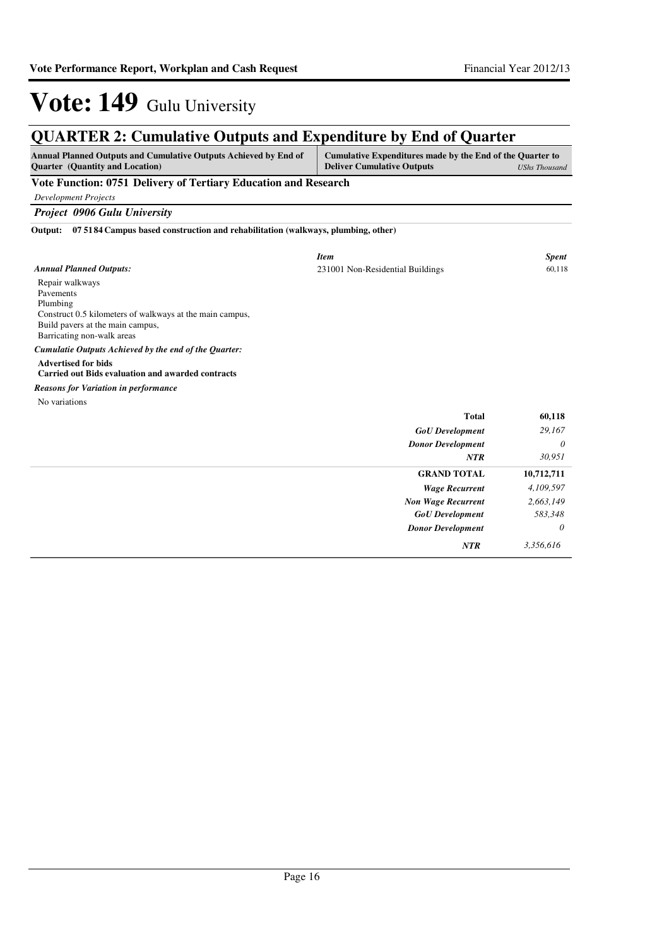*Wage Recurrent Non Wage Recurrent*

*GoU Development Donor Development* *4,109,597 2,663,149*

> *583,348 0*

*NTR 3,356,616*

# Vote: 149 Gulu University

| <b>QUARTER 2: Cumulative Outputs and Expenditure by End of Quarter</b>                                                                                                 |                                                                                                |                      |
|------------------------------------------------------------------------------------------------------------------------------------------------------------------------|------------------------------------------------------------------------------------------------|----------------------|
| Annual Planned Outputs and Cumulative Outputs Achieved by End of<br><b>Ouarter</b> (Quantity and Location)                                                             | Cumulative Expenditures made by the End of the Quarter to<br><b>Deliver Cumulative Outputs</b> | <b>UShs Thousand</b> |
| Vote Function: 0751 Delivery of Tertiary Education and Research                                                                                                        |                                                                                                |                      |
| <b>Development Projects</b>                                                                                                                                            |                                                                                                |                      |
| <b>Project 0906 Gulu University</b>                                                                                                                                    |                                                                                                |                      |
| 07 51 84 Campus based construction and rehabilitation (walkways, plumbing, other)<br>Output:                                                                           |                                                                                                |                      |
|                                                                                                                                                                        | <b>Item</b>                                                                                    | <b>Spent</b>         |
| <b>Annual Planned Outputs:</b>                                                                                                                                         | 231001 Non-Residential Buildings                                                               | 60,118               |
| Repair walkways<br>Pavements<br>Plumbing<br>Construct 0.5 kilometers of walkways at the main campus,<br>Build pavers at the main campus,<br>Barricating non-walk areas |                                                                                                |                      |
| Cumulatie Outputs Achieved by the end of the Quarter:                                                                                                                  |                                                                                                |                      |
| <b>Advertised for bids</b><br><b>Carried out Bids evaluation and awarded contracts</b>                                                                                 |                                                                                                |                      |
| <b>Reasons for Variation in performance</b>                                                                                                                            |                                                                                                |                      |
| No variations                                                                                                                                                          |                                                                                                |                      |
|                                                                                                                                                                        | <b>Total</b>                                                                                   | 60,118               |
|                                                                                                                                                                        | <b>GoU</b> Development                                                                         | 29,167               |
|                                                                                                                                                                        | <b>Donor Development</b>                                                                       | 0                    |
|                                                                                                                                                                        | <b>NTR</b>                                                                                     | 30.951               |
|                                                                                                                                                                        | <b>GRAND TOTAL</b>                                                                             | 10,712,711           |

#### Page 16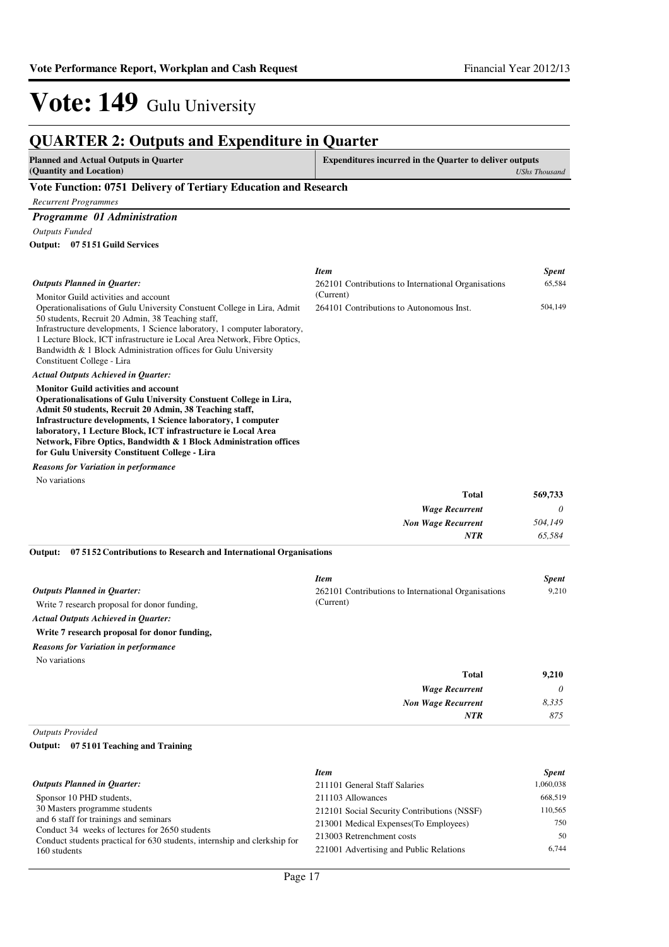| <b>QUARTER 2: Outputs and Expenditure in Quarter</b>                                                                         |                                                                    |                                                  |
|------------------------------------------------------------------------------------------------------------------------------|--------------------------------------------------------------------|--------------------------------------------------|
| <b>Planned and Actual Outputs in Quarter</b><br>(Quantity and Location)                                                      | <b>Expenditures incurred in the Quarter to deliver outputs</b>     | <b>UShs Thousand</b>                             |
| Vote Function: 0751 Delivery of Tertiary Education and Research                                                              |                                                                    |                                                  |
| <b>Recurrent Programmes</b>                                                                                                  |                                                                    |                                                  |
| Programme 01 Administration                                                                                                  |                                                                    |                                                  |
| <b>Outputs Funded</b>                                                                                                        |                                                                    |                                                  |
| Output: 07 51 51 Guild Services                                                                                              |                                                                    |                                                  |
|                                                                                                                              | <b>Item</b>                                                        | <b>Spent</b>                                     |
| <b>Outputs Planned in Quarter:</b>                                                                                           | 262101 Contributions to International Organisations                | 65,584                                           |
| Monitor Guild activities and account                                                                                         | (Current)                                                          |                                                  |
| Operationalisations of Gulu University Constuent College in Lira, Admit<br>50 students, Recruit 20 Admin, 38 Teaching staff, | 264101 Contributions to Autonomous Inst.                           | 504,149                                          |
| Infrastructure developments, 1 Science laboratory, 1 computer laboratory,                                                    |                                                                    |                                                  |
| 1 Lecture Block, ICT infrastructure ie Local Area Network, Fibre Optics,                                                     |                                                                    |                                                  |
| Bandwidth & 1 Block Administration offices for Gulu University<br>Constituent College - Lira                                 |                                                                    |                                                  |
| <b>Actual Outputs Achieved in Quarter:</b>                                                                                   |                                                                    |                                                  |
| <b>Monitor Guild activities and account</b>                                                                                  |                                                                    |                                                  |
| Operationalisations of Gulu University Constuent College in Lira,                                                            |                                                                    |                                                  |
| Admit 50 students, Recruit 20 Admin, 38 Teaching staff,<br>Infrastructure developments, 1 Science laboratory, 1 computer     |                                                                    |                                                  |
| laboratory, 1 Lecture Block, ICT infrastructure ie Local Area                                                                |                                                                    |                                                  |
| Network, Fibre Optics, Bandwidth & 1 Block Administration offices                                                            |                                                                    |                                                  |
| for Gulu University Constituent College - Lira<br><b>Reasons for Variation in performance</b>                                |                                                                    |                                                  |
| No variations                                                                                                                |                                                                    |                                                  |
|                                                                                                                              | Total                                                              | 569,733                                          |
|                                                                                                                              | <b>Wage Recurrent</b>                                              | 0                                                |
|                                                                                                                              | <b>Non Wage Recurrent</b>                                          | 504,149                                          |
|                                                                                                                              | <b>NTR</b>                                                         | 65,584                                           |
| 07 51 52 Contributions to Research and International Organisations<br>Output:                                                |                                                                    |                                                  |
|                                                                                                                              |                                                                    |                                                  |
| <b>Outputs Planned in Quarter:</b>                                                                                           | <b>Item</b><br>262101 Contributions to International Organisations | <b>Spent</b><br>9,210                            |
| Write 7 research proposal for donor funding,                                                                                 | (Current)                                                          |                                                  |
| <b>Actual Outputs Achieved in Quarter:</b>                                                                                   |                                                                    |                                                  |
| Write 7 research proposal for donor funding,                                                                                 |                                                                    |                                                  |
| <b>Reasons for Variation in performance</b>                                                                                  |                                                                    |                                                  |
| No variations                                                                                                                |                                                                    |                                                  |
|                                                                                                                              | <b>Total</b>                                                       | 9,210                                            |
|                                                                                                                              | <b>Wage Recurrent</b>                                              | 0                                                |
|                                                                                                                              | <b>Non Wage Recurrent</b>                                          | 8,335                                            |
|                                                                                                                              | NTR                                                                | 875                                              |
| <b>Outputs Provided</b>                                                                                                      |                                                                    |                                                  |
| Output: 07 5101 Teaching and Training                                                                                        |                                                                    |                                                  |
|                                                                                                                              | <b>Item</b>                                                        | <b>Spent</b>                                     |
| Outputs Planned in Quarter:                                                                                                  | 211101 General Staff Salaries                                      | 1,060,038                                        |
| Sponsor 10 PHD students,                                                                                                     | 211103 Allowances                                                  | 668,519                                          |
| 30 Masters programme students<br>and 6 staff for trainings and seminars                                                      | 212101 Social Security Contributions (NSSF)                        | 110,565                                          |
| Conduct 34 weeks of lectures for 2650 students                                                                               | 213001 Medical Expenses(To Employees)<br>$0.12002 \text{ m}$       | 750<br>$\epsilon$ <sup><math>\alpha</math></sup> |

213003 Retrenchment costs 50 221001 Advertising and Public Relations 6,744

Conduct students practical for 630 students, internship and clerkship for

160 students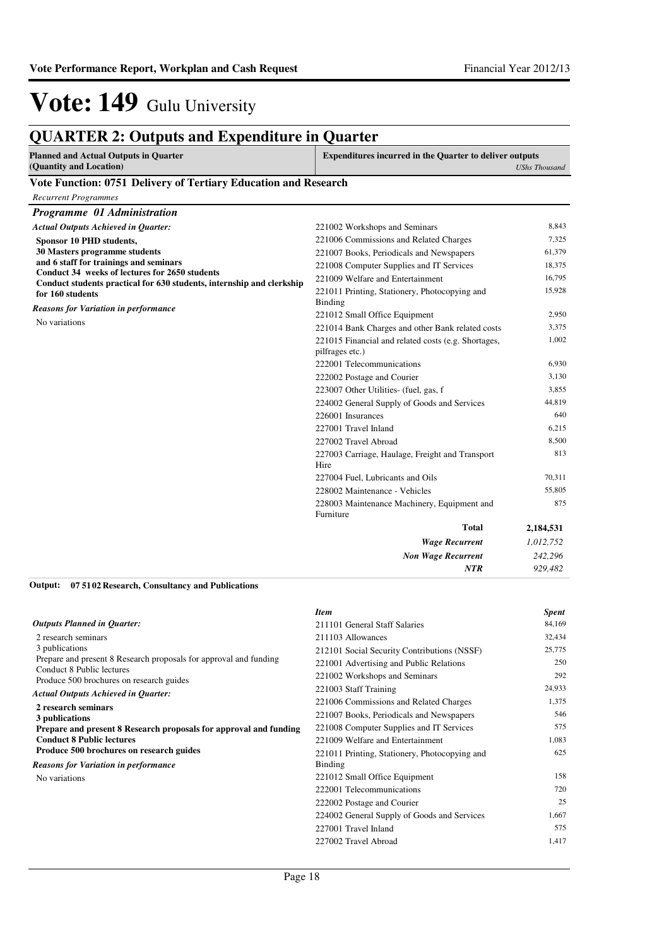### **QUARTER 2: Outputs and Expenditure in Quarter**

| Planned and Actual Outputs in Quarter | <b>Expenditures incurred in the Quarter to deliver outputs</b> |
|---------------------------------------|----------------------------------------------------------------|
| (Quantity and Location)               | <b>UShs Thousand</b>                                           |

#### **Vote Function: 0751 Delivery of Tertiary Education and Research**

| <b>Recurrent Programmes</b>                                                                                                                           |                                                                                                                                                                    |                                     |
|-------------------------------------------------------------------------------------------------------------------------------------------------------|--------------------------------------------------------------------------------------------------------------------------------------------------------------------|-------------------------------------|
| Programme 01 Administration                                                                                                                           |                                                                                                                                                                    |                                     |
| <b>Actual Outputs Achieved in Quarter:</b>                                                                                                            | 221002 Workshops and Seminars                                                                                                                                      | 8,843                               |
| Sponsor 10 PHD students,<br>30 Masters programme students<br>and 6 staff for trainings and seminars<br>Conduct 34 weeks of lectures for 2650 students | 221006 Commissions and Related Charges<br>221007 Books, Periodicals and Newspapers<br>221008 Computer Supplies and IT Services<br>221009 Welfare and Entertainment | 7,325<br>61,379<br>18,375<br>16,795 |
| Conduct students practical for 630 students, internship and clerkship<br>for 160 students                                                             | 221011 Printing, Stationery, Photocopying and<br>Binding                                                                                                           | 15,928                              |
| <b>Reasons for Variation in performance</b><br>No variations                                                                                          | 221012 Small Office Equipment<br>221014 Bank Charges and other Bank related costs<br>221015 Financial and related costs (e.g. Shortages,                           | 2,950<br>3,375<br>1,002             |
|                                                                                                                                                       | pilfrages etc.)<br>222001 Telecommunications<br>222002 Postage and Courier                                                                                         | 6,930<br>3,130                      |
|                                                                                                                                                       | 223007 Other Utilities- (fuel, gas, f<br>224002 General Supply of Goods and Services<br>226001 Insurances                                                          | 3,855<br>44,819<br>640              |
|                                                                                                                                                       | 227001 Travel Inland<br>227002 Travel Abroad                                                                                                                       | 6,215<br>8.500                      |
|                                                                                                                                                       | 227003 Carriage, Haulage, Freight and Transport<br>Hire<br>227004 Fuel, Lubricants and Oils                                                                        | 813<br>70.311                       |
|                                                                                                                                                       | 228002 Maintenance - Vehicles                                                                                                                                      | 55,805                              |
|                                                                                                                                                       | 228003 Maintenance Machinery, Equipment and<br>Furniture                                                                                                           | 875                                 |
|                                                                                                                                                       | <b>Total</b>                                                                                                                                                       | 2,184,531                           |
|                                                                                                                                                       | <b>Wage Recurrent</b>                                                                                                                                              | 1,012,752                           |
|                                                                                                                                                       | <b>Non Wage Recurrent</b>                                                                                                                                          | 242,296                             |
| 0.77302<br>$\sim$<br>$\mathbf{r}$ $\mathbf{r}$ $\mathbf{r}$ $\mathbf{r}$ $\mathbf{r}$                                                                 | <b>NTR</b>                                                                                                                                                         | 929,482                             |

#### **07 5102 Research, Consultancy and Publications Output:**

|                                                                       | <b>Item</b>                                   | <b>Spent</b> |
|-----------------------------------------------------------------------|-----------------------------------------------|--------------|
| <b>Outputs Planned in Quarter:</b>                                    | 211101 General Staff Salaries                 | 84,169       |
| 2 research seminars                                                   | 211103 Allowances                             | 32,434       |
| 3 publications                                                        | 212101 Social Security Contributions (NSSF)   | 25,775       |
| Prepare and present 8 Research proposals for approval and funding     | 221001 Advertising and Public Relations       | 250          |
| Conduct 8 Public lectures<br>Produce 500 brochures on research guides | 221002 Workshops and Seminars                 | 292          |
| <b>Actual Outputs Achieved in Quarter:</b>                            | 221003 Staff Training                         | 24,933       |
| 2 research seminars                                                   | 221006 Commissions and Related Charges        | 1,375        |
| 3 publications                                                        | 221007 Books, Periodicals and Newspapers      | 546          |
| Prepare and present 8 Research proposals for approval and funding     | 221008 Computer Supplies and IT Services      | 575          |
| <b>Conduct 8 Public lectures</b>                                      | 221009 Welfare and Entertainment              | 1,083        |
| Produce 500 brochures on research guides                              | 221011 Printing, Stationery, Photocopying and | 625          |
| <b>Reasons for Variation in performance</b>                           | Binding                                       |              |
| No variations                                                         | 221012 Small Office Equipment                 | 158          |
|                                                                       | 222001 Telecommunications                     | 720          |
|                                                                       | 222002 Postage and Courier                    | 25           |
|                                                                       | 224002 General Supply of Goods and Services   | 1,667        |
|                                                                       | 227001 Travel Inland                          | 575          |
|                                                                       | 227002 Travel Abroad                          | 1,417        |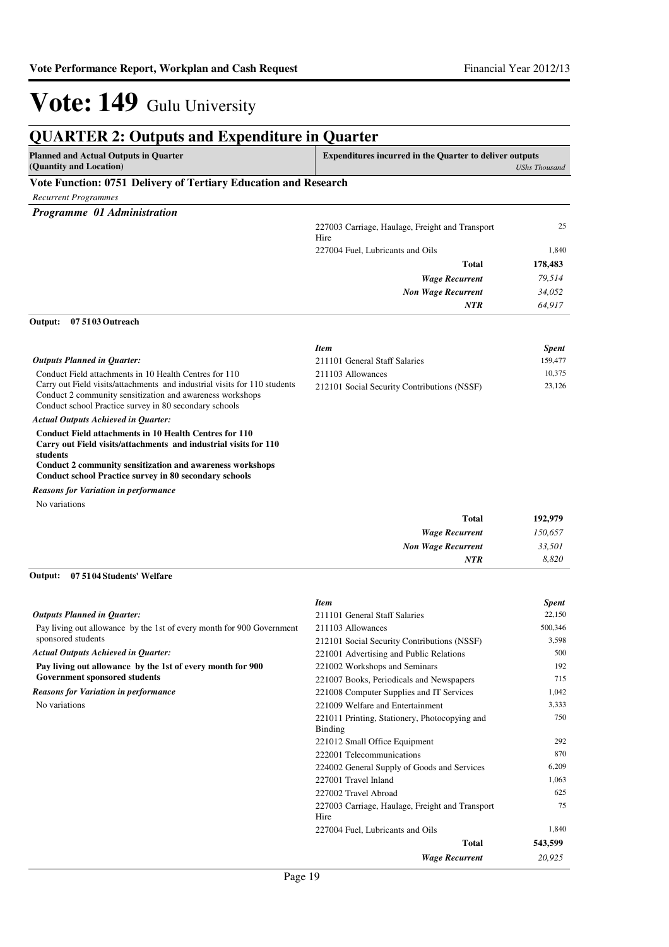| <b>QUARTER 2: Outputs and Expenditure in Quarter</b>                                                                                                                                                       |                                                                |                      |
|------------------------------------------------------------------------------------------------------------------------------------------------------------------------------------------------------------|----------------------------------------------------------------|----------------------|
| <b>Planned and Actual Outputs in Quarter</b><br>(Quantity and Location)                                                                                                                                    | <b>Expenditures incurred in the Quarter to deliver outputs</b> | <b>UShs Thousand</b> |
| Vote Function: 0751 Delivery of Tertiary Education and Research                                                                                                                                            |                                                                |                      |
| <b>Recurrent Programmes</b>                                                                                                                                                                                |                                                                |                      |
| Programme 01 Administration                                                                                                                                                                                |                                                                |                      |
|                                                                                                                                                                                                            | 227003 Carriage, Haulage, Freight and Transport<br>Hire        | 25                   |
|                                                                                                                                                                                                            | 227004 Fuel, Lubricants and Oils                               | 1,840                |
|                                                                                                                                                                                                            | Total                                                          | 178,483              |
|                                                                                                                                                                                                            | <b>Wage Recurrent</b>                                          | 79,514               |
|                                                                                                                                                                                                            | <b>Non Wage Recurrent</b>                                      | 34,052               |
|                                                                                                                                                                                                            | NTR                                                            | 64,917               |
| Output:<br>07 51 03 Outreach                                                                                                                                                                               |                                                                |                      |
|                                                                                                                                                                                                            | <b>Item</b>                                                    | <b>Spent</b>         |
| <b>Outputs Planned in Quarter:</b>                                                                                                                                                                         | 211101 General Staff Salaries                                  | 159,477              |
| Conduct Field attachments in 10 Health Centres for 110                                                                                                                                                     | 211103 Allowances                                              | 10,375               |
| Carry out Field visits/attachments and industrial visits for 110 students<br>Conduct 2 community sensitization and awareness workshops<br>Conduct school Practice survey in 80 secondary schools           | 212101 Social Security Contributions (NSSF)                    | 23,126               |
| <b>Actual Outputs Achieved in Quarter:</b>                                                                                                                                                                 |                                                                |                      |
| <b>Conduct Field attachments in 10 Health Centres for 110</b><br>Carry out Field visits/attachments and industrial visits for 110<br>students<br>Conduct 2 community sensitization and awareness workshops |                                                                |                      |
| <b>Conduct school Practice survey in 80 secondary schools</b>                                                                                                                                              |                                                                |                      |
| <b>Reasons for Variation in performance</b>                                                                                                                                                                |                                                                |                      |
| No variations                                                                                                                                                                                              |                                                                |                      |
|                                                                                                                                                                                                            | <b>Total</b>                                                   | 192,979              |
|                                                                                                                                                                                                            | <b>Wage Recurrent</b>                                          | 150,657              |
|                                                                                                                                                                                                            | <b>Non Wage Recurrent</b>                                      | 33,501               |
|                                                                                                                                                                                                            | <b>NTR</b>                                                     | 8,820                |
| 07 51 04 Students' Welfare<br>Output:                                                                                                                                                                      |                                                                |                      |
|                                                                                                                                                                                                            | <b>Item</b>                                                    | <b>Spent</b>         |
| <b>Outputs Planned in Quarter:</b>                                                                                                                                                                         | 211101 General Staff Salaries                                  | 22,150               |
| Pay living out allowance by the 1st of every month for 900 Government                                                                                                                                      | 211103 Allowances                                              | 500,346              |
| sponsored students                                                                                                                                                                                         | 212101 Social Security Contributions (NSSF)                    | 3,598                |
| <b>Actual Outputs Achieved in Quarter:</b>                                                                                                                                                                 | 221001 Advertising and Public Relations                        | 500<br>192           |
| Pay living out allowance by the 1st of every month for 900                                                                                                                                                 | 221002 Workshops and Seminars                                  |                      |

**Government sponsored students** *Reasons for Variation in performance*

No variations

*Wage Recurrent* **Total** *20,925* **543,599** 221002 Workshops and Seminars 192 221007 Books, Periodicals and Newspapers 715 221008 Computer Supplies and IT Services 1,042 221009 Welfare and Entertainment 3,333 221011 Printing, Stationery, Photocopying and Binding 750 221012 Small Office Equipment 292 222001 Telecommunications 870 224002 General Supply of Goods and Services 6,209 227001 Travel Inland 1,063 227002 Travel Abroad 625 227003 Carriage, Haulage, Freight and Transport Hire 75 227004 Fuel, Lubricants and Oils 1,840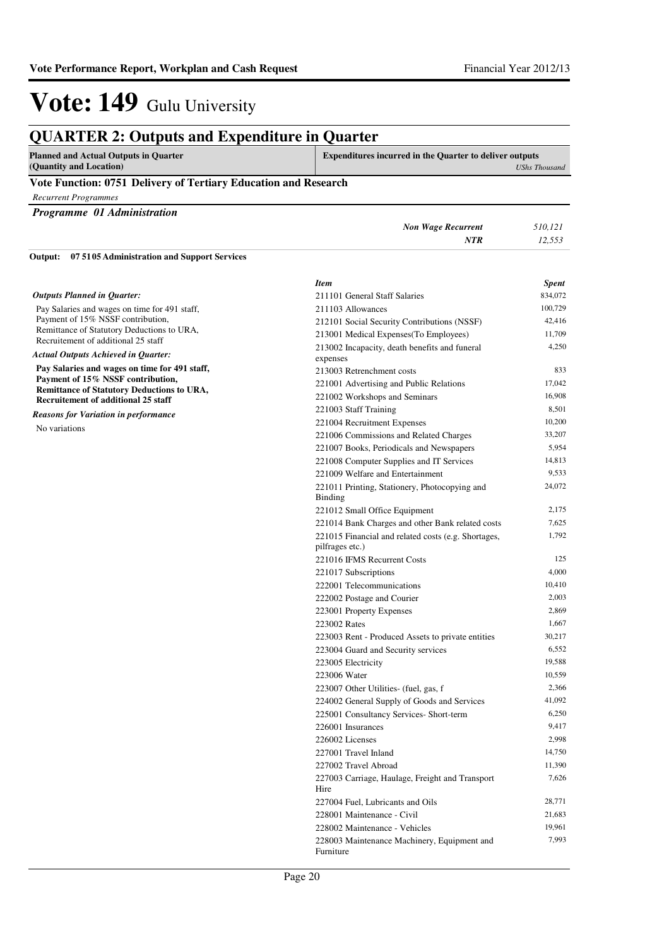| <b>QUARTER 2: Outputs and Expenditure in Quarter</b>                            |                                                                 |                      |
|---------------------------------------------------------------------------------|-----------------------------------------------------------------|----------------------|
| <b>Planned and Actual Outputs in Quarter</b><br>(Quantity and Location)         | <b>Expenditures incurred in the Quarter to deliver outputs</b>  | <b>UShs Thousand</b> |
| Vote Function: 0751 Delivery of Tertiary Education and Research                 |                                                                 |                      |
| <b>Recurrent Programmes</b>                                                     |                                                                 |                      |
| Programme 01 Administration                                                     |                                                                 |                      |
|                                                                                 | <b>Non Wage Recurrent</b>                                       | 510,121              |
|                                                                                 | NTR                                                             | 12,553               |
| Output:<br>075105 Administration and Support Services                           |                                                                 |                      |
|                                                                                 |                                                                 |                      |
|                                                                                 | <b>Item</b>                                                     | <b>Spent</b>         |
| <b>Outputs Planned in Quarter:</b>                                              | 211101 General Staff Salaries                                   | 834,072              |
| Pay Salaries and wages on time for 491 staff,                                   | 211103 Allowances                                               | 100,729              |
| Payment of 15% NSSF contribution,<br>Remittance of Statutory Deductions to URA, | 212101 Social Security Contributions (NSSF)                     | 42,416               |
| Recruitement of additional 25 staff                                             | 213001 Medical Expenses(To Employees)                           | 11,709               |
| <b>Actual Outputs Achieved in Quarter:</b>                                      | 213002 Incapacity, death benefits and funeral                   | 4,250                |
| Pay Salaries and wages on time for 491 staff,                                   | expenses                                                        |                      |
| Payment of 15% NSSF contribution,                                               | 213003 Retrenchment costs                                       | 833                  |
| <b>Remittance of Statutory Deductions to URA,</b>                               | 221001 Advertising and Public Relations                         | 17,042               |
| <b>Recruitement of additional 25 staff</b>                                      | 221002 Workshops and Seminars                                   | 16,908               |
| <b>Reasons for Variation in performance</b>                                     | 221003 Staff Training                                           | 8,501                |
| No variations                                                                   | 221004 Recruitment Expenses                                     | 10,200               |
|                                                                                 | 221006 Commissions and Related Charges                          | 33,207               |
|                                                                                 | 221007 Books, Periodicals and Newspapers                        | 5,954                |
|                                                                                 | 221008 Computer Supplies and IT Services                        | 14,813               |
|                                                                                 | 221009 Welfare and Entertainment                                | 9,533                |
|                                                                                 | 221011 Printing, Stationery, Photocopying and<br><b>Binding</b> | 24,072               |
|                                                                                 | 221012 Small Office Equipment                                   | 2,175                |
|                                                                                 | 221014 Bank Charges and other Bank related costs                | 7,625                |
|                                                                                 | 221015 Financial and related costs (e.g. Shortages,             | 1,792                |
|                                                                                 | pilfrages etc.)                                                 |                      |
|                                                                                 | 221016 IFMS Recurrent Costs                                     | 125                  |
|                                                                                 | 221017 Subscriptions                                            | 4,000                |
|                                                                                 | 222001 Telecommunications                                       | 10,410               |
|                                                                                 | 222002 Postage and Courier                                      | 2,003                |
|                                                                                 | 223001 Property Expenses                                        | 2,869                |
|                                                                                 | 223002 Rates                                                    | 1,667                |
|                                                                                 | 223003 Rent - Produced Assets to private entities               | 30,217               |
|                                                                                 | 223004 Guard and Security services                              | 6,552                |
|                                                                                 | 223005 Electricity                                              | 19,588               |
|                                                                                 | 223006 Water                                                    | 10,559               |
|                                                                                 | 223007 Other Utilities- (fuel, gas, f                           | 2,366                |
|                                                                                 | 224002 General Supply of Goods and Services                     | 41,092               |
|                                                                                 | 225001 Consultancy Services- Short-term                         | 6,250                |
|                                                                                 | 226001 Insurances                                               | 9,417                |
|                                                                                 | 226002 Licenses                                                 | 2,998                |
|                                                                                 | 227001 Travel Inland                                            | 14,750               |
|                                                                                 | 227002 Travel Abroad                                            | 11,390               |
|                                                                                 | 227003 Carriage, Haulage, Freight and Transport<br>Hire         | 7,626                |
|                                                                                 | 227004 Fuel, Lubricants and Oils                                | 28,771               |
|                                                                                 | 228001 Maintenance - Civil                                      | 21,683               |
|                                                                                 | 228002 Maintenance - Vehicles                                   | 19,961               |

Furniture

228003 Maintenance Machinery, Equipment and

7,993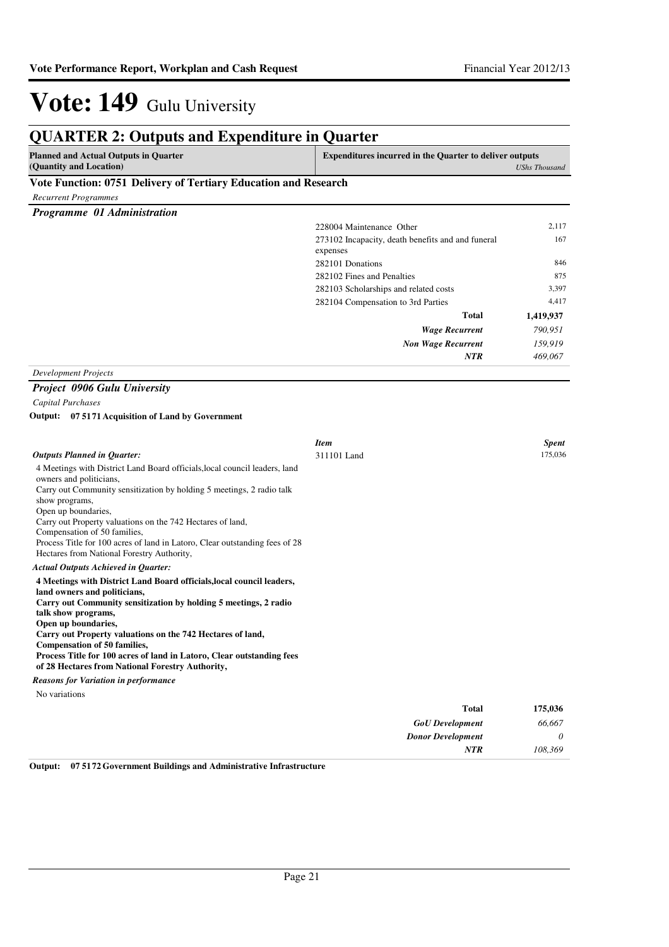| <b>QUARTER 2: Outputs and Expenditure in Quarter</b>                                                  |                                                                |                      |
|-------------------------------------------------------------------------------------------------------|----------------------------------------------------------------|----------------------|
| <b>Planned and Actual Outputs in Quarter</b><br>(Quantity and Location)                               | <b>Expenditures incurred in the Quarter to deliver outputs</b> | <b>UShs Thousand</b> |
| Vote Function: 0751 Delivery of Tertiary Education and Research                                       |                                                                |                      |
| <b>Recurrent Programmes</b>                                                                           |                                                                |                      |
| Programme 01 Administration                                                                           |                                                                |                      |
|                                                                                                       | 228004 Maintenance Other                                       | 2,117                |
|                                                                                                       | 273102 Incapacity, death benefits and and funeral<br>expenses  | 167                  |
|                                                                                                       | 282101 Donations                                               | 846                  |
|                                                                                                       | 282102 Fines and Penalties                                     | 875                  |
|                                                                                                       | 282103 Scholarships and related costs                          | 3,397                |
|                                                                                                       | 282104 Compensation to 3rd Parties                             | 4,417                |
|                                                                                                       | Total                                                          | 1,419,937            |
|                                                                                                       | <b>Wage Recurrent</b>                                          | 790,951              |
|                                                                                                       | <b>Non Wage Recurrent</b>                                      | 159,919              |
|                                                                                                       | NTR                                                            | 469,067              |
| <b>Development Projects</b>                                                                           |                                                                |                      |
| <b>Project 0906 Gulu University</b>                                                                   |                                                                |                      |
| Capital Purchases                                                                                     |                                                                |                      |
| Output: 07 5171 Acquisition of Land by Government                                                     |                                                                |                      |
|                                                                                                       |                                                                |                      |
|                                                                                                       | <b>Item</b>                                                    | <b>Spent</b>         |
| <b>Outputs Planned in Quarter:</b>                                                                    | 311101 Land                                                    | 175,036              |
| 4 Meetings with District Land Board officials, local council leaders, land                            |                                                                |                      |
| owners and politicians,                                                                               |                                                                |                      |
| Carry out Community sensitization by holding 5 meetings, 2 radio talk<br>show programs,               |                                                                |                      |
| Open up boundaries,                                                                                   |                                                                |                      |
| Carry out Property valuations on the 742 Hectares of land,                                            |                                                                |                      |
| Compensation of 50 families,                                                                          |                                                                |                      |
| Process Title for 100 acres of land in Latoro, Clear outstanding fees of 28                           |                                                                |                      |
| Hectares from National Forestry Authority,                                                            |                                                                |                      |
| <b>Actual Outputs Achieved in Quarter:</b>                                                            |                                                                |                      |
| 4 Meetings with District Land Board officials, local council leaders,<br>land owners and politicians, |                                                                |                      |
| Carry out Community sensitization by holding 5 meetings, 2 radio                                      |                                                                |                      |
| talk show programs,                                                                                   |                                                                |                      |
| Open up boundaries,                                                                                   |                                                                |                      |
| Carry out Property valuations on the 742 Hectares of land,<br><b>Compensation of 50 families,</b>     |                                                                |                      |
| Process Title for 100 acres of land in Latoro, Clear outstanding fees                                 |                                                                |                      |
| of 28 Hectares from National Forestry Authority,                                                      |                                                                |                      |
| <b>Reasons for Variation in performance</b>                                                           |                                                                |                      |
| No variations                                                                                         |                                                                |                      |
|                                                                                                       | <b>Total</b>                                                   | 175,036              |
|                                                                                                       | <b>GoU</b> Development                                         | 66,667               |
|                                                                                                       | <b>Donor Development</b>                                       | 0                    |
|                                                                                                       | <b>NTR</b>                                                     | 108,369              |

**Output: 07 5172 Government Buildings and Administrative Infrastructure**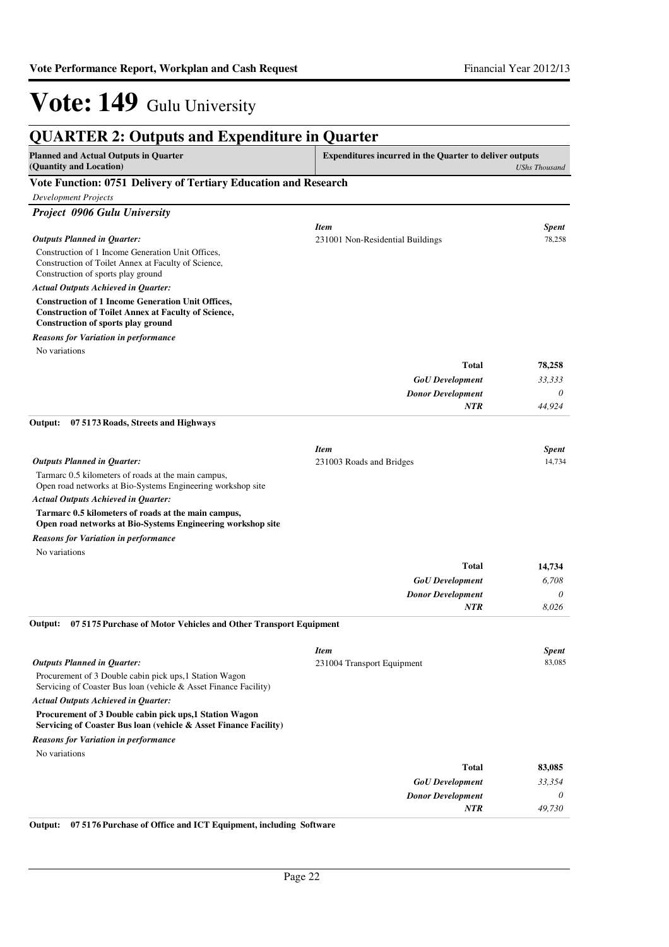| <b>QUARTER 2: Outputs and Expenditure in Quarter</b>                                                                                                         |                                                                |                      |
|--------------------------------------------------------------------------------------------------------------------------------------------------------------|----------------------------------------------------------------|----------------------|
| <b>Planned and Actual Outputs in Quarter</b><br>(Quantity and Location)                                                                                      | <b>Expenditures incurred in the Quarter to deliver outputs</b> | <b>UShs Thousand</b> |
| Vote Function: 0751 Delivery of Tertiary Education and Research                                                                                              |                                                                |                      |
| Development Projects                                                                                                                                         |                                                                |                      |
| Project 0906 Gulu University                                                                                                                                 |                                                                |                      |
|                                                                                                                                                              | <b>Item</b>                                                    | <b>Spent</b>         |
| <b>Outputs Planned in Quarter:</b>                                                                                                                           | 231001 Non-Residential Buildings                               | 78,258               |
| Construction of 1 Income Generation Unit Offices.<br>Construction of Toilet Annex at Faculty of Science,<br>Construction of sports play ground               |                                                                |                      |
| <b>Actual Outputs Achieved in Quarter:</b>                                                                                                                   |                                                                |                      |
| <b>Construction of 1 Income Generation Unit Offices,</b><br><b>Construction of Toilet Annex at Faculty of Science,</b><br>Construction of sports play ground |                                                                |                      |
| <b>Reasons for Variation in performance</b>                                                                                                                  |                                                                |                      |
| No variations                                                                                                                                                |                                                                |                      |
|                                                                                                                                                              | <b>Total</b>                                                   | 78,258               |
|                                                                                                                                                              | <b>GoU</b> Development                                         | 33,333               |
|                                                                                                                                                              | <b>Donor Development</b>                                       | 0                    |
|                                                                                                                                                              | <b>NTR</b>                                                     | 44,924               |
| 07 5173 Roads, Streets and Highways<br>Output:                                                                                                               |                                                                |                      |
|                                                                                                                                                              | <b>Item</b>                                                    | <b>Spent</b>         |
| <b>Outputs Planned in Quarter:</b>                                                                                                                           | 231003 Roads and Bridges                                       | 14,734               |
| Tarmarc 0.5 kilometers of roads at the main campus,<br>Open road networks at Bio-Systems Engineering workshop site                                           |                                                                |                      |
| <b>Actual Outputs Achieved in Quarter:</b>                                                                                                                   |                                                                |                      |
| Tarmarc 0.5 kilometers of roads at the main campus,<br>Open road networks at Bio-Systems Engineering workshop site                                           |                                                                |                      |
| <b>Reasons for Variation in performance</b>                                                                                                                  |                                                                |                      |
| No variations                                                                                                                                                |                                                                |                      |
|                                                                                                                                                              | <b>Total</b>                                                   | 14,734               |
|                                                                                                                                                              | <b>GoU</b> Development                                         | 6,708                |
|                                                                                                                                                              | <b>Donor Development</b>                                       | 0                    |
|                                                                                                                                                              | NTR                                                            | 8,026                |
| 07 5175 Purchase of Motor Vehicles and Other Transport Equipment<br>Output:                                                                                  |                                                                |                      |
|                                                                                                                                                              | <b>Item</b>                                                    | Spent                |
| <b>Outputs Planned in Quarter:</b>                                                                                                                           | 231004 Transport Equipment                                     | 83,085               |
| Procurement of 3 Double cabin pick ups, 1 Station Wagon<br>Servicing of Coaster Bus loan (vehicle & Asset Finance Facility)                                  |                                                                |                      |
| <b>Actual Outputs Achieved in Quarter:</b>                                                                                                                   |                                                                |                      |
| Procurement of 3 Double cabin pick ups, 1 Station Wagon<br>Servicing of Coaster Bus loan (vehicle & Asset Finance Facility)                                  |                                                                |                      |
| <b>Reasons for Variation in performance</b>                                                                                                                  |                                                                |                      |
| No variations                                                                                                                                                |                                                                |                      |
|                                                                                                                                                              | <b>Total</b>                                                   | 83,085               |
|                                                                                                                                                              | <b>GoU</b> Development                                         | 33,354               |
|                                                                                                                                                              | <b>Donor Development</b>                                       | 0                    |
|                                                                                                                                                              | NTR                                                            | 49,730               |
|                                                                                                                                                              |                                                                |                      |

**Output: 07 5176 Purchase of Office and ICT Equipment, including Software**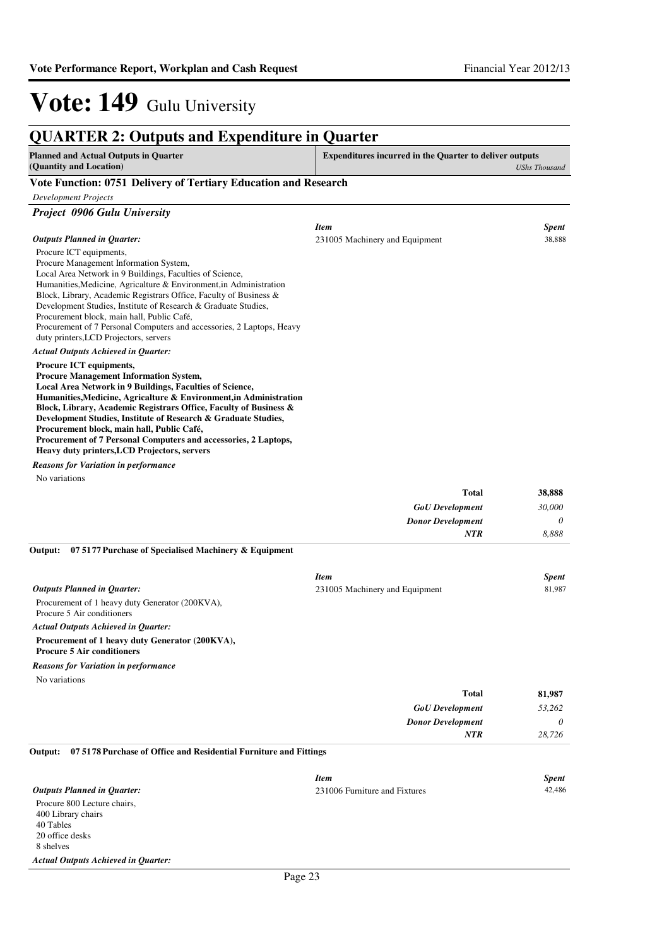| <b>Planned and Actual Outputs in Quarter</b><br>(Quantity and Location)                                                                                                                                                                                                                                                                                                                                                                                                                                                   | <b>Expenditures incurred in the Quarter to deliver outputs</b> | <b>UShs Thousand</b> |
|---------------------------------------------------------------------------------------------------------------------------------------------------------------------------------------------------------------------------------------------------------------------------------------------------------------------------------------------------------------------------------------------------------------------------------------------------------------------------------------------------------------------------|----------------------------------------------------------------|----------------------|
| Vote Function: 0751 Delivery of Tertiary Education and Research                                                                                                                                                                                                                                                                                                                                                                                                                                                           |                                                                |                      |
| <b>Development Projects</b>                                                                                                                                                                                                                                                                                                                                                                                                                                                                                               |                                                                |                      |
| Project 0906 Gulu University                                                                                                                                                                                                                                                                                                                                                                                                                                                                                              |                                                                |                      |
|                                                                                                                                                                                                                                                                                                                                                                                                                                                                                                                           | <b>Item</b>                                                    | <b>Spent</b>         |
| <b>Outputs Planned in Quarter:</b>                                                                                                                                                                                                                                                                                                                                                                                                                                                                                        | 231005 Machinery and Equipment                                 | 38.888               |
| Procure ICT equipments,<br>Procure Management Information System,<br>Local Area Network in 9 Buildings, Faculties of Science,<br>Humanities, Medicine, Agricalture & Environment, in Administration<br>Block, Library, Academic Registrars Office, Faculty of Business &<br>Development Studies, Institute of Research & Graduate Studies,<br>Procurement block, main hall, Public Café,<br>Procurement of 7 Personal Computers and accessories, 2 Laptops, Heavy<br>duty printers, LCD Projectors, servers               |                                                                |                      |
| <b>Actual Outputs Achieved in Ouarter:</b>                                                                                                                                                                                                                                                                                                                                                                                                                                                                                |                                                                |                      |
| Procure ICT equipments,<br><b>Procure Management Information System,</b><br>Local Area Network in 9 Buildings, Faculties of Science,<br>Humanities, Medicine, Agricalture & Environment, in Administration<br>Block, Library, Academic Registrars Office, Faculty of Business &<br>Development Studies, Institute of Research & Graduate Studies,<br>Procurement block, main hall, Public Café,<br>Procurement of 7 Personal Computers and accessories, 2 Laptops,<br><b>Heavy duty printers, LCD Projectors, servers</b> |                                                                |                      |
| <b>Reasons for Variation in performance</b>                                                                                                                                                                                                                                                                                                                                                                                                                                                                               |                                                                |                      |
| No variations                                                                                                                                                                                                                                                                                                                                                                                                                                                                                                             |                                                                |                      |
|                                                                                                                                                                                                                                                                                                                                                                                                                                                                                                                           | <b>Total</b>                                                   | 38,888               |
|                                                                                                                                                                                                                                                                                                                                                                                                                                                                                                                           | <b>GoU</b> Development                                         | 30,000               |
|                                                                                                                                                                                                                                                                                                                                                                                                                                                                                                                           | <b>Donor Development</b>                                       | 0                    |
|                                                                                                                                                                                                                                                                                                                                                                                                                                                                                                                           | <b>NTR</b>                                                     | 8,888                |

**07 5177 Purchase of Specialised Machinery & Equipment Output:**

|                                                                                      | <b>Item</b>                    |              | <b>Spent</b> |
|--------------------------------------------------------------------------------------|--------------------------------|--------------|--------------|
| Outputs Planned in Ouarter:                                                          | 231005 Machinery and Equipment |              | 81.987       |
| Procurement of 1 heavy duty Generator (200KVA),<br>Procure 5 Air conditioners        |                                |              |              |
| <b>Actual Outputs Achieved in Quarter:</b>                                           |                                |              |              |
| Procurement of 1 heavy duty Generator (200KVA),<br><b>Procure 5 Air conditioners</b> |                                |              |              |
| <b>Reasons for Variation in performance</b>                                          |                                |              |              |
| No variations                                                                        |                                |              |              |
|                                                                                      |                                | <b>Total</b> | 81.987       |

| <b>GoU</b> Development   | 53,262 |
|--------------------------|--------|
| <b>Donor Development</b> |        |
| NTR                      | 28,726 |
|                          |        |

**07 5178 Purchase of Office and Residential Furniture and Fittings Output:**

|                                            | <b>Item</b>                   | <b>Spent</b> |
|--------------------------------------------|-------------------------------|--------------|
| <b>Outputs Planned in Ouarter:</b>         | 231006 Furniture and Fixtures | 42,486       |
| Procure 800 Lecture chairs,                |                               |              |
| 400 Library chairs                         |                               |              |
| 40 Tables                                  |                               |              |
| 20 office desks                            |                               |              |
| 8 shelves                                  |                               |              |
| <b>Actual Outputs Achieved in Quarter:</b> |                               |              |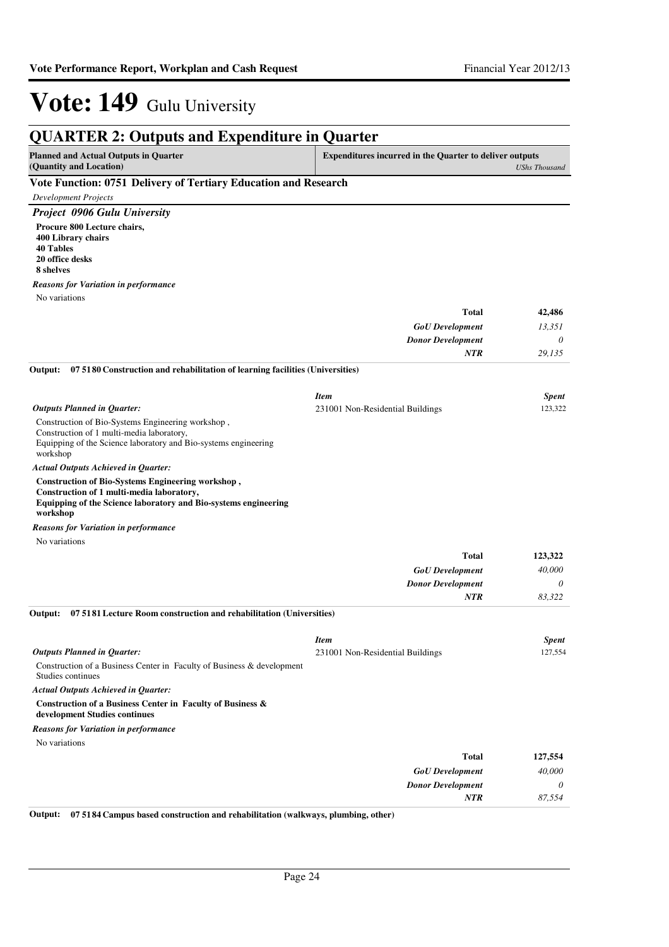| <b>QUARTER 2: Outputs and Expenditure in Quarter</b>                                                                     |                                                                |                      |  |  |
|--------------------------------------------------------------------------------------------------------------------------|----------------------------------------------------------------|----------------------|--|--|
| <b>Planned and Actual Outputs in Quarter</b><br>(Quantity and Location)                                                  | <b>Expenditures incurred in the Quarter to deliver outputs</b> | <b>UShs Thousand</b> |  |  |
| Vote Function: 0751 Delivery of Tertiary Education and Research                                                          |                                                                |                      |  |  |
| <b>Development Projects</b>                                                                                              |                                                                |                      |  |  |
| <b>Project 0906 Gulu University</b>                                                                                      |                                                                |                      |  |  |
| Procure 800 Lecture chairs,<br>400 Library chairs                                                                        |                                                                |                      |  |  |
| <b>40 Tables</b><br>20 office desks<br>8 shelves                                                                         |                                                                |                      |  |  |
| Reasons for Variation in performance                                                                                     |                                                                |                      |  |  |
| No variations                                                                                                            |                                                                |                      |  |  |
|                                                                                                                          | <b>Total</b>                                                   | 42,486               |  |  |
|                                                                                                                          | <b>GoU</b> Development                                         | 13,351               |  |  |
|                                                                                                                          | <b>Donor Development</b>                                       | 0                    |  |  |
|                                                                                                                          | <b>NTR</b>                                                     | 29,135               |  |  |
| 07 5180 Construction and rehabilitation of learning facilities (Universities)<br>Output:                                 |                                                                |                      |  |  |
|                                                                                                                          | <b>Item</b>                                                    | <b>Spent</b>         |  |  |
| <b>Outputs Planned in Quarter:</b>                                                                                       | 231001 Non-Residential Buildings                               | 123,322              |  |  |
| Construction of Bio-Systems Engineering workshop,                                                                        |                                                                |                      |  |  |
| Construction of 1 multi-media laboratory,<br>Equipping of the Science laboratory and Bio-systems engineering<br>workshop |                                                                |                      |  |  |
| <b>Actual Outputs Achieved in Quarter:</b>                                                                               |                                                                |                      |  |  |
| Construction of Bio-Systems Engineering workshop,<br>Construction of 1 multi-media laboratory,                           |                                                                |                      |  |  |
| Equipping of the Science laboratory and Bio-systems engineering<br>workshop                                              |                                                                |                      |  |  |
| <b>Reasons for Variation in performance</b>                                                                              |                                                                |                      |  |  |
| No variations                                                                                                            |                                                                |                      |  |  |
|                                                                                                                          | <b>Total</b>                                                   | 123,322              |  |  |
|                                                                                                                          | <b>GoU</b> Development                                         | 40,000               |  |  |
|                                                                                                                          | <b>Donor Development</b>                                       | 0                    |  |  |
|                                                                                                                          | <b>NTR</b>                                                     | 83,322               |  |  |
| 07 5181 Lecture Room construction and rehabilitation (Universities)<br>Output:                                           |                                                                |                      |  |  |
|                                                                                                                          | <b>Item</b>                                                    | <b>Spent</b>         |  |  |
| <b>Outputs Planned in Quarter:</b>                                                                                       | 231001 Non-Residential Buildings                               | 127,554              |  |  |
| Construction of a Business Center in Faculty of Business & development<br>Studies continues                              |                                                                |                      |  |  |
| <b>Actual Outputs Achieved in Quarter:</b>                                                                               |                                                                |                      |  |  |
| Construction of a Business Center in Faculty of Business &<br>development Studies continues                              |                                                                |                      |  |  |
| <b>Reasons for Variation in performance</b>                                                                              |                                                                |                      |  |  |
| No variations                                                                                                            |                                                                |                      |  |  |
|                                                                                                                          | <b>Total</b>                                                   | 127,554              |  |  |
|                                                                                                                          | <b>GoU</b> Development                                         | 40,000               |  |  |
|                                                                                                                          | <b>Donor Development</b>                                       | 0                    |  |  |
|                                                                                                                          | NTR                                                            | 87,554               |  |  |

**Output: 07 5184 Campus based construction and rehabilitation (walkways, plumbing, other)**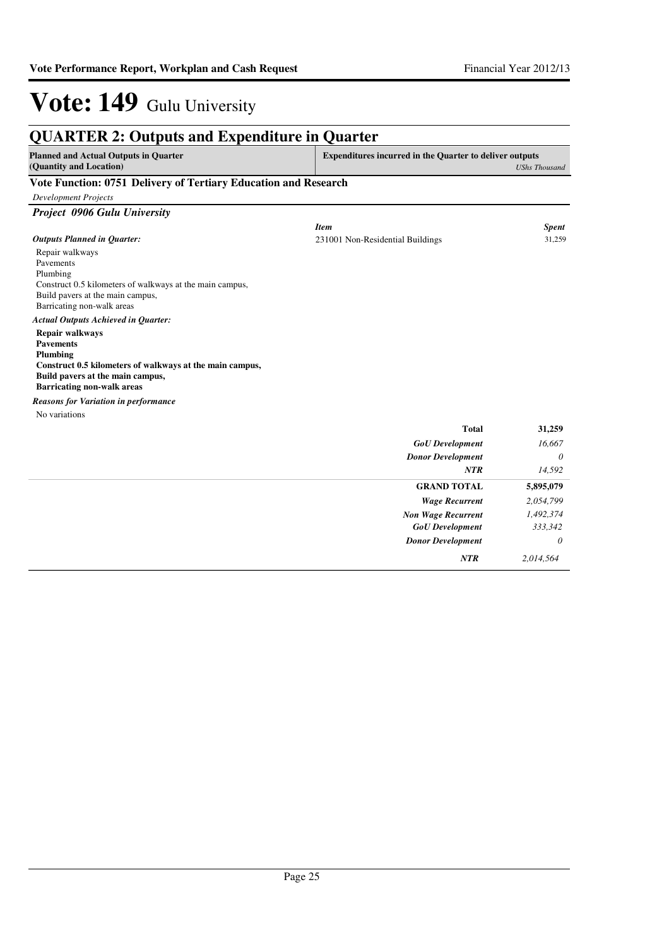| <b>Planned and Actual Outputs in Quarter</b><br>(Quantity and Location) | <b>Expenditures incurred in the Quarter to deliver outputs</b> | <b>UShs Thousand</b> |
|-------------------------------------------------------------------------|----------------------------------------------------------------|----------------------|
|                                                                         |                                                                |                      |
| Vote Function: 0751 Delivery of Tertiary Education and Research         |                                                                |                      |
| <b>Development Projects</b>                                             |                                                                |                      |
| Project 0906 Gulu University                                            |                                                                |                      |
|                                                                         | <b>Item</b>                                                    | <b>Spent</b>         |
| <b>Outputs Planned in Quarter:</b>                                      | 231001 Non-Residential Buildings                               | 31,259               |
| Repair walkways<br>Pavements                                            |                                                                |                      |
| Plumbing                                                                |                                                                |                      |
| Construct 0.5 kilometers of walkways at the main campus,                |                                                                |                      |
| Build pavers at the main campus,                                        |                                                                |                      |
| Barricating non-walk areas                                              |                                                                |                      |
| <b>Actual Outputs Achieved in Quarter:</b>                              |                                                                |                      |
| <b>Repair walkways</b>                                                  |                                                                |                      |
| <b>Pavements</b>                                                        |                                                                |                      |
| Plumbing<br>Construct 0.5 kilometers of walkways at the main campus,    |                                                                |                      |
| Build pavers at the main campus,                                        |                                                                |                      |
| <b>Barricating non-walk areas</b>                                       |                                                                |                      |
| <b>Reasons for Variation in performance</b>                             |                                                                |                      |
| No variations                                                           |                                                                |                      |
|                                                                         | <b>Total</b>                                                   | 31,259               |
|                                                                         | <b>GoU</b> Development                                         | 16,667               |
|                                                                         | <b>Donor Development</b>                                       | 0                    |
|                                                                         | NTR                                                            | 14,592               |
|                                                                         | <b>GRAND TOTAL</b>                                             | 5,895,079            |
|                                                                         | <b>Wage Recurrent</b>                                          | 2,054,799            |
|                                                                         | <b>Non Wage Recurrent</b>                                      | 1,492,374            |
|                                                                         | <b>GoU</b> Development                                         | 333,342              |
|                                                                         | <b>Donor Development</b>                                       | $\theta$             |
|                                                                         | <b>NTR</b>                                                     | 2.014.564            |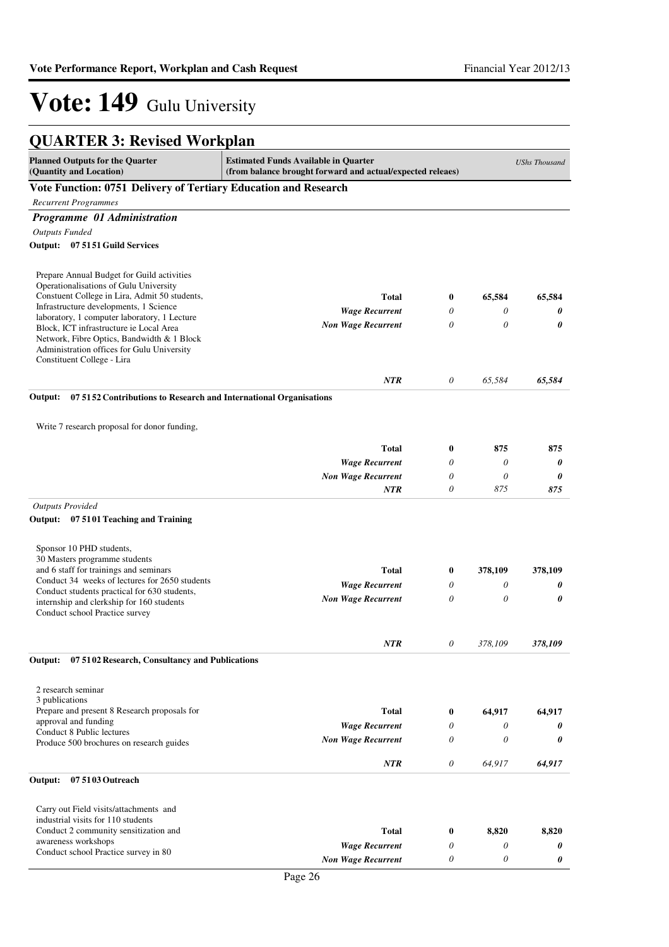| <b>QUARTER 3: Revised Workplan</b>                                                                                                                                             |                           |                  |          |         |  |
|--------------------------------------------------------------------------------------------------------------------------------------------------------------------------------|---------------------------|------------------|----------|---------|--|
| <b>Planned Outputs for the Quarter</b><br><b>Estimated Funds Available in Quarter</b><br>(Quantity and Location)<br>(from balance brought forward and actual/expected releaes) |                           |                  |          |         |  |
| Vote Function: 0751 Delivery of Tertiary Education and Research                                                                                                                |                           |                  |          |         |  |
| <b>Recurrent Programmes</b>                                                                                                                                                    |                           |                  |          |         |  |
| Programme 01 Administration                                                                                                                                                    |                           |                  |          |         |  |
| <b>Outputs Funded</b>                                                                                                                                                          |                           |                  |          |         |  |
| Output: 07 51 51 Guild Services                                                                                                                                                |                           |                  |          |         |  |
| Prepare Annual Budget for Guild activities<br>Operationalisations of Gulu University                                                                                           |                           |                  |          |         |  |
| Constuent College in Lira, Admit 50 students,                                                                                                                                  | <b>Total</b>              | $\bf{0}$         | 65,584   | 65,584  |  |
| Infrastructure developments, 1 Science<br>laboratory, 1 computer laboratory, 1 Lecture                                                                                         | <b>Wage Recurrent</b>     | 0                | 0        | 0       |  |
| Block, ICT infrastructure ie Local Area<br>Network, Fibre Optics, Bandwidth & 1 Block<br>Administration offices for Gulu University<br>Constituent College - Lira              | <b>Non Wage Recurrent</b> | $\theta$         | $\theta$ | 0       |  |
|                                                                                                                                                                                | <b>NTR</b>                | 0                | 65,584   | 65,584  |  |
| 07 51 52 Contributions to Research and International Organisations<br>Output:                                                                                                  |                           |                  |          |         |  |
| Write 7 research proposal for donor funding,                                                                                                                                   |                           |                  |          |         |  |
|                                                                                                                                                                                | <b>Total</b>              | $\boldsymbol{0}$ | 875      | 875     |  |
|                                                                                                                                                                                | <b>Wage Recurrent</b>     | 0                | 0        | 0       |  |
|                                                                                                                                                                                | <b>Non Wage Recurrent</b> | 0                | 0        | 0       |  |
|                                                                                                                                                                                | <b>NTR</b>                | 0                | 875      | 875     |  |
| <b>Outputs Provided</b><br>07 5101 Teaching and Training<br>Output:                                                                                                            |                           |                  |          |         |  |
| Sponsor 10 PHD students,<br>30 Masters programme students                                                                                                                      |                           |                  |          |         |  |
| and 6 staff for trainings and seminars                                                                                                                                         | <b>Total</b>              | $\bf{0}$         | 378,109  | 378,109 |  |
| Conduct 34 weeks of lectures for 2650 students                                                                                                                                 | <b>Wage Recurrent</b>     | 0                | 0        | 0       |  |
| Conduct students practical for 630 students,<br>internship and clerkship for 160 students<br>Conduct school Practice survey                                                    | <b>Non Wage Recurrent</b> | 0                | 0        | 0       |  |
|                                                                                                                                                                                | <b>NTR</b>                | 0                | 378,109  | 378,109 |  |
| Output:<br>07 5102 Research, Consultancy and Publications                                                                                                                      |                           |                  |          |         |  |
| 2 research seminar<br>3 publications                                                                                                                                           |                           |                  |          |         |  |
| Prepare and present 8 Research proposals for                                                                                                                                   | <b>Total</b>              | $\bf{0}$         | 64,917   | 64,917  |  |
| approval and funding<br>Conduct 8 Public lectures                                                                                                                              | <b>Wage Recurrent</b>     | 0                | 0        | 0       |  |
| Produce 500 brochures on research guides                                                                                                                                       | <b>Non Wage Recurrent</b> | 0                | $\theta$ | 0       |  |
|                                                                                                                                                                                | NTR                       | 0                | 64,917   | 64,917  |  |
| Output:<br>07 5103 Outreach                                                                                                                                                    |                           |                  |          |         |  |
| Carry out Field visits/attachments and<br>industrial visits for 110 students                                                                                                   |                           |                  |          |         |  |
| Conduct 2 community sensitization and<br>awareness workshops                                                                                                                   | <b>Total</b>              | $\bf{0}$         | 8,820    | 8,820   |  |
| Conduct school Practice survey in 80                                                                                                                                           | <b>Wage Recurrent</b>     | 0                | 0        | 0       |  |
|                                                                                                                                                                                | <b>Non Wage Recurrent</b> | 0                | 0        | 0       |  |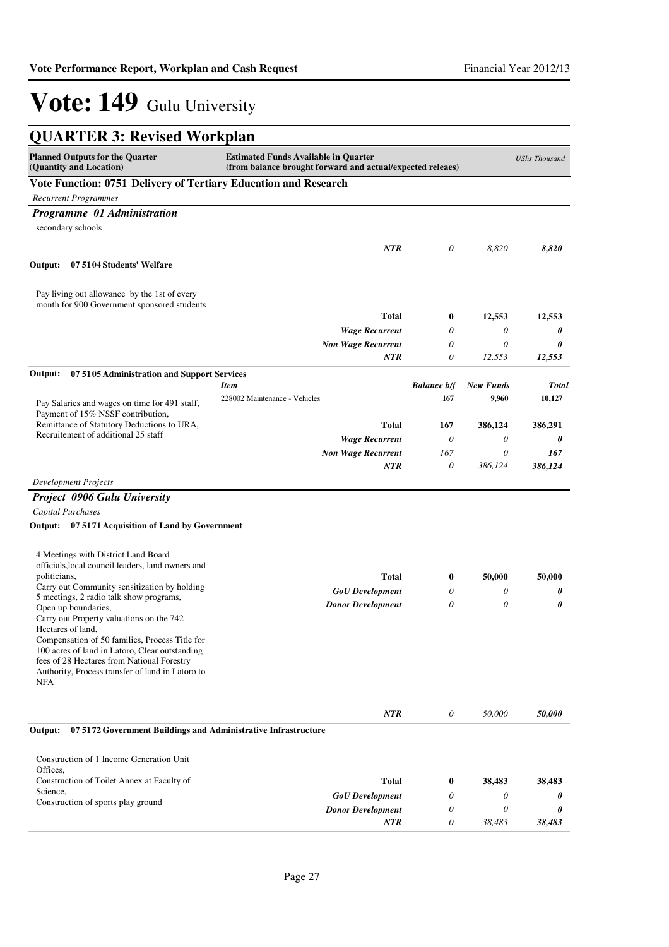| <b>QUARTER 3: Revised Workplan</b>                                                           |                                                                                                           |                    |                  |                      |
|----------------------------------------------------------------------------------------------|-----------------------------------------------------------------------------------------------------------|--------------------|------------------|----------------------|
| <b>Planned Outputs for the Quarter</b><br>(Quantity and Location)                            | <b>Estimated Funds Available in Quarter</b><br>(from balance brought forward and actual/expected releaes) |                    |                  | <b>UShs Thousand</b> |
| Vote Function: 0751 Delivery of Tertiary Education and Research                              |                                                                                                           |                    |                  |                      |
| <b>Recurrent Programmes</b>                                                                  |                                                                                                           |                    |                  |                      |
| Programme 01 Administration                                                                  |                                                                                                           |                    |                  |                      |
| secondary schools                                                                            |                                                                                                           |                    |                  |                      |
|                                                                                              | NTR                                                                                                       | 0                  | 8,820            | 8,820                |
| 07 5104 Students' Welfare<br>Output:                                                         |                                                                                                           |                    |                  |                      |
| Pay living out allowance by the 1st of every                                                 |                                                                                                           |                    |                  |                      |
| month for 900 Government sponsored students                                                  |                                                                                                           |                    |                  |                      |
|                                                                                              | <b>Total</b>                                                                                              | 0                  | 12,553           | 12,553               |
|                                                                                              | <b>Wage Recurrent</b>                                                                                     | 0                  | 0                | 0                    |
|                                                                                              | <b>Non Wage Recurrent</b><br>NTR                                                                          | $\theta$<br>0      | 0<br>12,553      | 0<br>12,553          |
|                                                                                              |                                                                                                           |                    |                  |                      |
| Output:<br>075105 Administration and Support Services                                        | <b>Item</b>                                                                                               | <b>Balance b/f</b> | <b>New Funds</b> | <b>Total</b>         |
| Pay Salaries and wages on time for 491 staff,                                                | 228002 Maintenance - Vehicles                                                                             | 167                | 9,960            | 10,127               |
| Payment of 15% NSSF contribution,<br>Remittance of Statutory Deductions to URA,              | <b>Total</b>                                                                                              | 167                | 386,124          | 386,291              |
| Recruitement of additional 25 staff                                                          | <b>Wage Recurrent</b>                                                                                     | 0                  | 0                | 0                    |
|                                                                                              | <b>Non Wage Recurrent</b>                                                                                 | 167                | 0                | 167                  |
|                                                                                              | NTR                                                                                                       | 0                  | 386,124          | 386,124              |
| <b>Development Projects</b>                                                                  |                                                                                                           |                    |                  |                      |
| <b>Project 0906 Gulu University</b>                                                          |                                                                                                           |                    |                  |                      |
| <b>Capital Purchases</b>                                                                     |                                                                                                           |                    |                  |                      |
| Output: 07 5171 Acquisition of Land by Government                                            |                                                                                                           |                    |                  |                      |
| 4 Meetings with District Land Board                                                          |                                                                                                           |                    |                  |                      |
| officials, local council leaders, land owners and<br>politicians,                            | <b>Total</b>                                                                                              | 0                  | 50,000           | 50,000               |
| Carry out Community sensitization by holding                                                 | <b>GoU</b> Development                                                                                    | 0                  | 0                | 0                    |
| 5 meetings, 2 radio talk show programs,                                                      | <b>Donor Development</b>                                                                                  | 0                  | 0                | 0                    |
| Open up boundaries,<br>Carry out Property valuations on the 742                              |                                                                                                           |                    |                  |                      |
| Hectares of land,                                                                            |                                                                                                           |                    |                  |                      |
| Compensation of 50 families, Process Title for                                               |                                                                                                           |                    |                  |                      |
| 100 acres of land in Latoro, Clear outstanding<br>fees of 28 Hectares from National Forestry |                                                                                                           |                    |                  |                      |
| Authority, Process transfer of land in Latoro to                                             |                                                                                                           |                    |                  |                      |
| <b>NFA</b>                                                                                   |                                                                                                           |                    |                  |                      |
|                                                                                              | NTR                                                                                                       | 0                  | 50,000           | 50,000               |
| 07 5172 Government Buildings and Administrative Infrastructure<br>Output:                    |                                                                                                           |                    |                  |                      |
| Construction of 1 Income Generation Unit                                                     |                                                                                                           |                    |                  |                      |
| Offices.                                                                                     |                                                                                                           |                    |                  |                      |
| Construction of Toilet Annex at Faculty of<br>Science,                                       | <b>Total</b>                                                                                              | 0                  | 38,483           | 38,483               |
| Construction of sports play ground                                                           | <b>GoU</b> Development                                                                                    | 0                  | 0                | 0                    |
|                                                                                              | <b>Donor Development</b>                                                                                  | 0                  | 0                | 0                    |
|                                                                                              | NTR                                                                                                       | 0                  | 38,483           | 38,483               |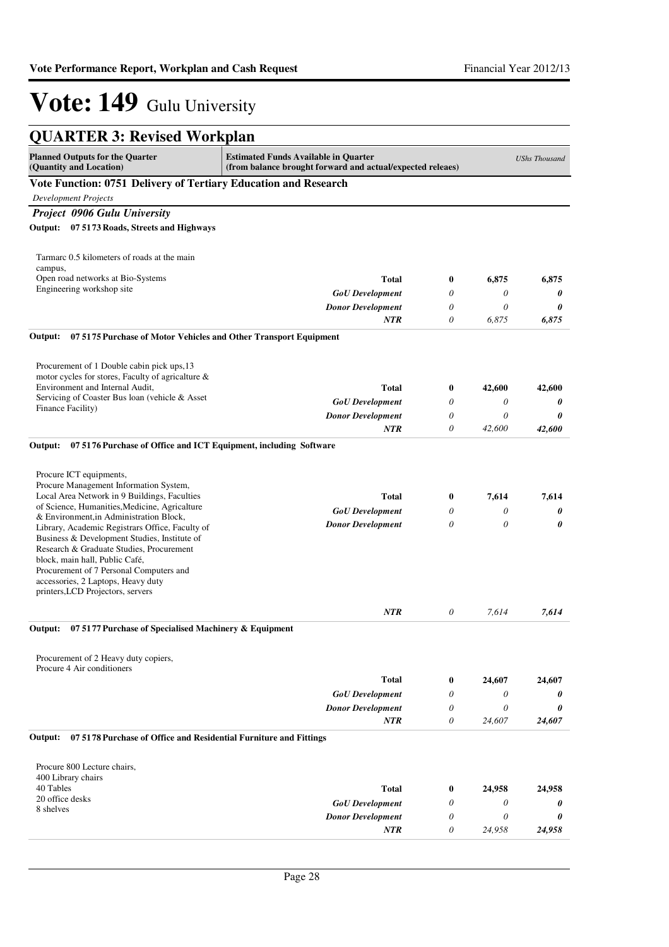| <b>QUARTER 3: Revised Workplan</b>                                                                                                                                                                                                                                                                  |                                                                                                           |          |        |                      |
|-----------------------------------------------------------------------------------------------------------------------------------------------------------------------------------------------------------------------------------------------------------------------------------------------------|-----------------------------------------------------------------------------------------------------------|----------|--------|----------------------|
| <b>Planned Outputs for the Quarter</b><br>(Quantity and Location)                                                                                                                                                                                                                                   | <b>Estimated Funds Available in Quarter</b><br>(from balance brought forward and actual/expected releaes) |          |        | <b>UShs Thousand</b> |
| Vote Function: 0751 Delivery of Tertiary Education and Research                                                                                                                                                                                                                                     |                                                                                                           |          |        |                      |
| <b>Development Projects</b>                                                                                                                                                                                                                                                                         |                                                                                                           |          |        |                      |
| Project 0906 Gulu University                                                                                                                                                                                                                                                                        |                                                                                                           |          |        |                      |
| Output: 07 5173 Roads, Streets and Highways                                                                                                                                                                                                                                                         |                                                                                                           |          |        |                      |
| Tarmarc 0.5 kilometers of roads at the main<br>campus,                                                                                                                                                                                                                                              |                                                                                                           |          |        |                      |
| Open road networks at Bio-Systems                                                                                                                                                                                                                                                                   | <b>Total</b>                                                                                              | $\bf{0}$ | 6,875  | 6,875                |
| Engineering workshop site                                                                                                                                                                                                                                                                           | <b>GoU</b> Development                                                                                    | 0        | 0      | 0                    |
|                                                                                                                                                                                                                                                                                                     | <b>Donor Development</b>                                                                                  | 0        | 0      | 0                    |
|                                                                                                                                                                                                                                                                                                     | <b>NTR</b>                                                                                                | 0        | 6,875  | 6,875                |
| Output:<br>07 5175 Purchase of Motor Vehicles and Other Transport Equipment                                                                                                                                                                                                                         |                                                                                                           |          |        |                      |
| Procurement of 1 Double cabin pick ups, 13<br>motor cycles for stores, Faculty of agricalture &                                                                                                                                                                                                     |                                                                                                           |          |        |                      |
| Environment and Internal Audit,                                                                                                                                                                                                                                                                     | <b>Total</b>                                                                                              | 0        | 42,600 | 42,600               |
| Servicing of Coaster Bus loan (vehicle & Asset                                                                                                                                                                                                                                                      | <b>GoU</b> Development                                                                                    | 0        | 0      | 0                    |
| Finance Facility)                                                                                                                                                                                                                                                                                   | <b>Donor Development</b>                                                                                  | 0        | 0      | 0                    |
|                                                                                                                                                                                                                                                                                                     | NTR                                                                                                       | $\theta$ | 42,600 | 42,600               |
| Output:<br>07 5176 Purchase of Office and ICT Equipment, including Software<br>Procure ICT equipments,<br>Procure Management Information System,<br>Local Area Network in 9 Buildings, Faculties<br>of Science, Humanities, Medicine, Agricalture                                                   | <b>Total</b>                                                                                              | 0        | 7,614  | 7,614                |
| & Environment, in Administration Block,                                                                                                                                                                                                                                                             | <b>GoU</b> Development                                                                                    | 0        | 0      | 0                    |
| Library, Academic Registrars Office, Faculty of<br>Business & Development Studies, Institute of<br>Research & Graduate Studies, Procurement<br>block, main hall, Public Café,<br>Procurement of 7 Personal Computers and<br>accessories, 2 Laptops, Heavy duty<br>printers, LCD Projectors, servers | <b>Donor Development</b>                                                                                  | 0        | 0      | 0                    |
|                                                                                                                                                                                                                                                                                                     | <b>NTR</b>                                                                                                | 0        | 7,614  | 7,614                |
| 07 5177 Purchase of Specialised Machinery & Equipment<br>Output:                                                                                                                                                                                                                                    |                                                                                                           |          |        |                      |
| Procurement of 2 Heavy duty copiers,<br>Procure 4 Air conditioners                                                                                                                                                                                                                                  |                                                                                                           |          |        |                      |
|                                                                                                                                                                                                                                                                                                     | <b>Total</b>                                                                                              | $\bf{0}$ | 24,607 | 24,607               |
|                                                                                                                                                                                                                                                                                                     | <b>GoU</b> Development                                                                                    | 0        | 0      | 0                    |
|                                                                                                                                                                                                                                                                                                     | <b>Donor Development</b>                                                                                  | 0        | 0      | 0                    |
|                                                                                                                                                                                                                                                                                                     | <b>NTR</b>                                                                                                | 0        | 24,607 | 24,607               |
| 07 5178 Purchase of Office and Residential Furniture and Fittings<br>Output:                                                                                                                                                                                                                        |                                                                                                           |          |        |                      |
| Procure 800 Lecture chairs,<br>400 Library chairs                                                                                                                                                                                                                                                   |                                                                                                           |          |        |                      |
| 40 Tables                                                                                                                                                                                                                                                                                           | <b>Total</b>                                                                                              | $\bf{0}$ | 24,958 | 24,958               |
| 20 office desks<br>8 shelves                                                                                                                                                                                                                                                                        | <b>GoU</b> Development                                                                                    | 0        | 0      | 0                    |
|                                                                                                                                                                                                                                                                                                     | <b>Donor Development</b>                                                                                  | 0        | 0      | 0                    |
|                                                                                                                                                                                                                                                                                                     | NTR                                                                                                       | 0        | 24,958 | 24,958               |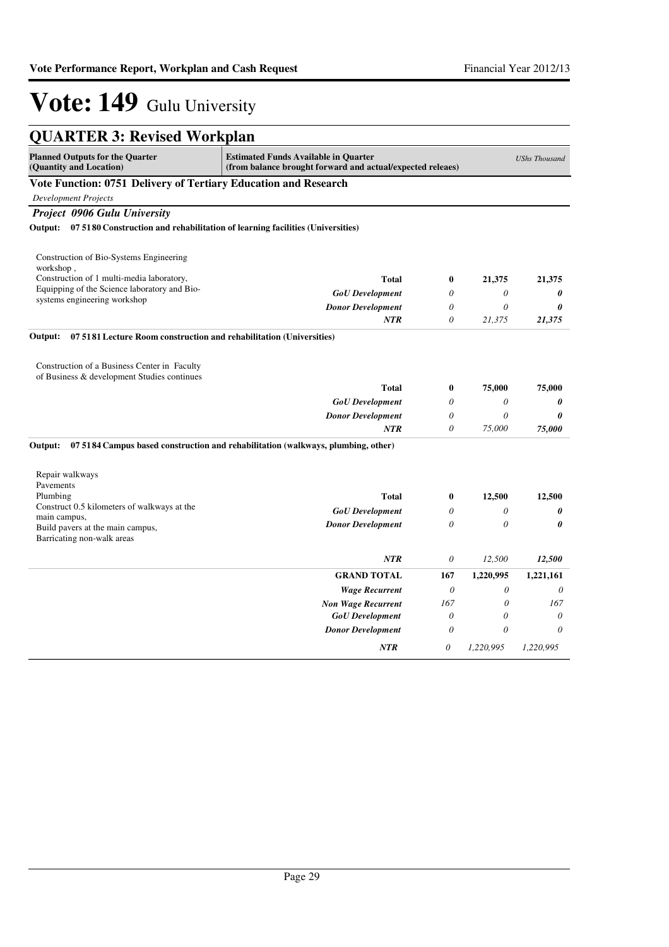| <b>QUARTER 3: Revised Workplan</b>                                                                                                                                                                     |                                                                                  |          |                       |                       |
|--------------------------------------------------------------------------------------------------------------------------------------------------------------------------------------------------------|----------------------------------------------------------------------------------|----------|-----------------------|-----------------------|
| <b>Planned Outputs for the Quarter</b><br><b>Estimated Funds Available in Quarter</b><br><b>UShs Thousand</b><br>(Quantity and Location)<br>(from balance brought forward and actual/expected releaes) |                                                                                  |          |                       |                       |
| Vote Function: 0751 Delivery of Tertiary Education and Research                                                                                                                                        |                                                                                  |          |                       |                       |
| <b>Development Projects</b>                                                                                                                                                                            |                                                                                  |          |                       |                       |
| <b>Project 0906 Gulu University</b>                                                                                                                                                                    |                                                                                  |          |                       |                       |
| Output: 07 5180 Construction and rehabilitation of learning facilities (Universities)                                                                                                                  |                                                                                  |          |                       |                       |
| Construction of Bio-Systems Engineering<br>workshop,                                                                                                                                                   |                                                                                  |          |                       |                       |
| Construction of 1 multi-media laboratory,                                                                                                                                                              | <b>Total</b>                                                                     | $\bf{0}$ | 21,375                | 21,375                |
| Equipping of the Science laboratory and Bio-<br>systems engineering workshop                                                                                                                           | <b>GoU</b> Development                                                           | $\theta$ | 0                     | 0                     |
|                                                                                                                                                                                                        | <b>Donor Development</b>                                                         | $\theta$ | 0                     | 0                     |
|                                                                                                                                                                                                        | <b>NTR</b>                                                                       | $\theta$ | 21,375                | 21,375                |
| Output:<br>07 5181 Lecture Room construction and rehabilitation (Universities)                                                                                                                         |                                                                                  |          |                       |                       |
| Construction of a Business Center in Faculty<br>of Business & development Studies continues                                                                                                            |                                                                                  |          |                       |                       |
|                                                                                                                                                                                                        | <b>Total</b>                                                                     | $\bf{0}$ | 75,000                | 75,000                |
|                                                                                                                                                                                                        | <b>GoU</b> Development                                                           | $\theta$ | $\theta$              | 0                     |
|                                                                                                                                                                                                        | <b>Donor Development</b>                                                         | 0        | 0                     | 0                     |
|                                                                                                                                                                                                        | <b>NTR</b>                                                                       | $\theta$ | 75,000                | 75,000                |
| Output:                                                                                                                                                                                                | 07 5184 Campus based construction and rehabilitation (walkways, plumbing, other) |          |                       |                       |
| Repair walkways                                                                                                                                                                                        |                                                                                  |          |                       |                       |
| Pavements<br>Plumbing                                                                                                                                                                                  | <b>Total</b>                                                                     | $\bf{0}$ | 12,500                | 12,500                |
| Construct 0.5 kilometers of walkways at the                                                                                                                                                            | <b>GoU</b> Development                                                           | 0        | $\theta$              | 0                     |
| main campus,                                                                                                                                                                                           | <b>Donor Development</b>                                                         | $\theta$ | $\theta$              | $\boldsymbol{\theta}$ |
| Build pavers at the main campus,<br>Barricating non-walk areas                                                                                                                                         |                                                                                  |          |                       |                       |
|                                                                                                                                                                                                        | <b>NTR</b>                                                                       | $\theta$ | 12,500                | 12,500                |
|                                                                                                                                                                                                        | <b>GRAND TOTAL</b>                                                               | 167      | 1,220,995             | 1,221,161             |
|                                                                                                                                                                                                        | <b>Wage Recurrent</b>                                                            | $\theta$ | $\theta$              | 0                     |
|                                                                                                                                                                                                        | <b>Non Wage Recurrent</b>                                                        | 167      | $\theta$              | 167                   |
|                                                                                                                                                                                                        | <b>GoU</b> Development                                                           | $\theta$ | $\boldsymbol{\theta}$ | 0                     |
|                                                                                                                                                                                                        | <b>Donor Development</b>                                                         | $\theta$ | $\theta$              | $\theta$              |
|                                                                                                                                                                                                        | <b>NTR</b>                                                                       | 0        | 1,220,995             | 1,220,995             |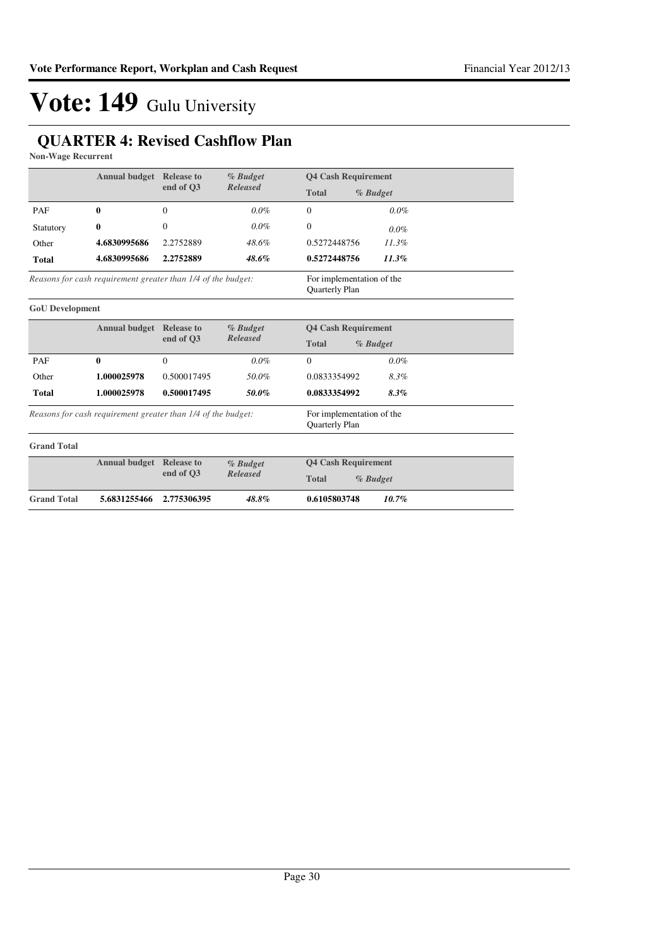#### **QUARTER 4: Revised Cashflow Plan**

**Non-Wage Recurrent**

|                        | <b>Annual budget</b> Release to                              |              | % Budget        | <b>Q4 Cash Requirement</b>                  |
|------------------------|--------------------------------------------------------------|--------------|-----------------|---------------------------------------------|
|                        |                                                              | end of O3    | <b>Released</b> | <b>Total</b><br>% Budget                    |
| PAF                    | 0                                                            | $\Omega$     | $0.0\%$         | 0.0%<br>$\Omega$                            |
| Statutory              | 0                                                            | $\mathbf{0}$ | $0.0\%$         | $\mathbf{0}$<br>$0.0\%$                     |
| Other                  | 4.6830995686                                                 | 2.2752889    | 48.6%           | 11.3%<br>0.5272448756                       |
| <b>Total</b>           | 4.6830995686                                                 | 2.2752889    | 48.6%           | 0.5272448756<br>$11.3\%$                    |
|                        | Reasons for cash requirement greater than 1/4 of the budget: |              |                 | For implementation of the<br>Quarterly Plan |
| <b>GoU</b> Development |                                                              |              |                 |                                             |
|                        | <b>Annual budget Release to</b>                              |              | % Budget        | <b>Q4 Cash Requirement</b>                  |
|                        |                                                              | end of O3    | <b>Released</b> | <b>Total</b><br>% Budget                    |
| PAF                    | $\bf{0}$                                                     | $\mathbf{0}$ | 0.0%            | $\mathbf{0}$<br>$0.0\%$                     |
| Other                  | 1.000025978                                                  | 0.500017495  | 50.0%           | 0.0833354992<br>8.3%                        |
| <b>Total</b>           | 1.000025978                                                  | 0.500017495  | 50.0%           | 0.0833354992<br>8.3%                        |
|                        | Reasons for cash requirement greater than 1/4 of the budget: |              |                 | For implementation of the<br>Quarterly Plan |
| <b>Grand Total</b>     |                                                              |              |                 |                                             |
|                        | <b>Annual budget</b> Release to                              |              | % Budget        | <b>Q4 Cash Requirement</b>                  |
|                        |                                                              | end of Q3    | <b>Released</b> | <b>Total</b><br>% Budget                    |
| <b>Grand Total</b>     | 5.6831255466                                                 | 2.775306395  | 48.8%           | 0.6105803748<br>10.7%                       |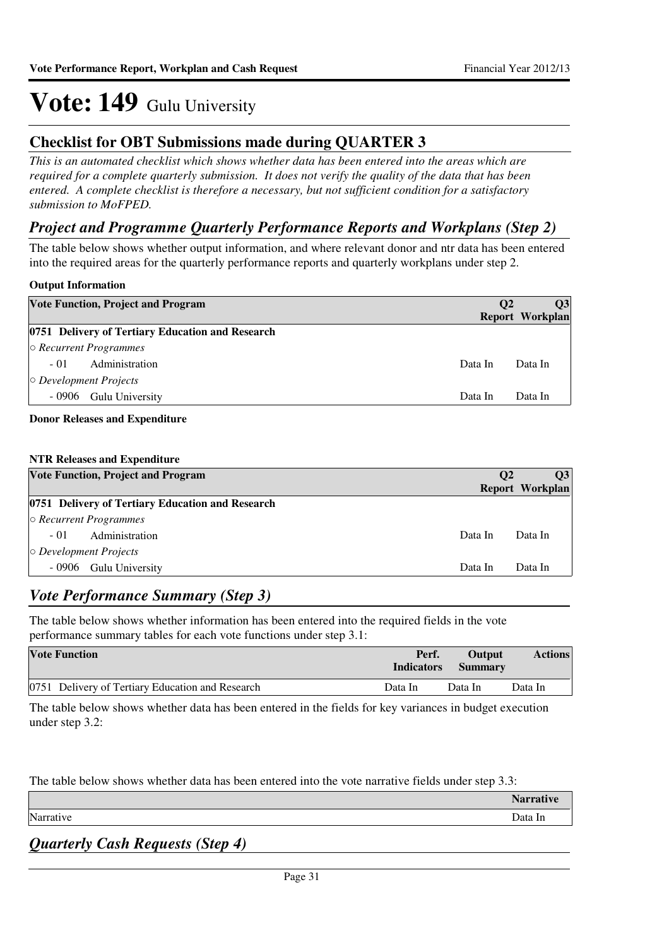#### **Checklist for OBT Submissions made during QUARTER 3**

*This is an automated checklist which shows whether data has been entered into the areas which are required for a complete quarterly submission. It does not verify the quality of the data that has been entered. A complete checklist is therefore a necessary, but not sufficient condition for a satisfactory submission to MoFPED.*

#### *Project and Programme Quarterly Performance Reports and Workplans (Step 2)*

The table below shows whether output information, and where relevant donor and ntr data has been entered into the required areas for the quarterly performance reports and quarterly workplans under step 2.

#### **Output Information**

|                              | <b>Vote Function, Project and Program</b>        | <b>O2</b> | <b>O3</b><br><b>Report Workplan</b> |
|------------------------------|--------------------------------------------------|-----------|-------------------------------------|
|                              | 0751 Delivery of Tertiary Education and Research |           |                                     |
| $\circ$ Recurrent Programmes |                                                  |           |                                     |
| $-01$                        | Administration                                   | Data In   | Data In                             |
| $\circ$ Development Projects |                                                  |           |                                     |
|                              | - 0906 Gulu University                           | Data In   | Data In                             |
|                              |                                                  |           |                                     |

#### **Donor Releases and Expenditure**

#### **NTR Releases and Expenditure**

| <b>Vote Function, Project and Program</b>        | $\bf{O}2$ | <b>O3</b>              |
|--------------------------------------------------|-----------|------------------------|
|                                                  |           | <b>Report Workplan</b> |
| 0751 Delivery of Tertiary Education and Research |           |                        |
| $\circ$ Recurrent Programmes                     |           |                        |
| $-01$<br>Administration                          | Data In   | Data In                |
| $\circ$ Development Projects                     |           |                        |
| - 0906<br>Gulu University                        | Data In   | Data In                |

#### *Vote Performance Summary (Step 3)*

The table below shows whether information has been entered into the required fields in the vote performance summary tables for each vote functions under step 3.1:

| <b>Vote Function</b>                             | Perf.<br><b>Indicators</b> | Output<br><b>Summary</b> | <b>Actions</b> |
|--------------------------------------------------|----------------------------|--------------------------|----------------|
| 0751 Delivery of Tertiary Education and Research | Data In                    | Data In                  | Data In        |

The table below shows whether data has been entered in the fields for key variances in budget execution under step 3.2:

The table below shows whether data has been entered into the vote narrative fields under step 3.3:

**Narrative** Narrative Data In the United States of the United States of the United States of Data In the United States of D

*Quarterly Cash Requests (Step 4)*